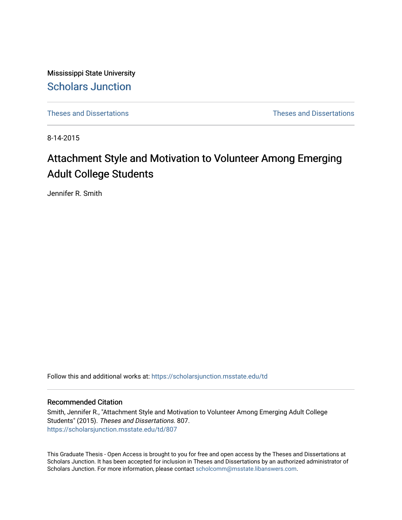Mississippi State University [Scholars Junction](https://scholarsjunction.msstate.edu/) 

[Theses and Dissertations](https://scholarsjunction.msstate.edu/td) [Theses and Dissertations](https://scholarsjunction.msstate.edu/theses-dissertations) 

8-14-2015

# Attachment Style and Motivation to Volunteer Among Emerging Adult College Students

Jennifer R. Smith

Follow this and additional works at: [https://scholarsjunction.msstate.edu/td](https://scholarsjunction.msstate.edu/td?utm_source=scholarsjunction.msstate.edu%2Ftd%2F807&utm_medium=PDF&utm_campaign=PDFCoverPages) 

#### Recommended Citation

Smith, Jennifer R., "Attachment Style and Motivation to Volunteer Among Emerging Adult College Students" (2015). Theses and Dissertations. 807. [https://scholarsjunction.msstate.edu/td/807](https://scholarsjunction.msstate.edu/td/807?utm_source=scholarsjunction.msstate.edu%2Ftd%2F807&utm_medium=PDF&utm_campaign=PDFCoverPages) 

This Graduate Thesis - Open Access is brought to you for free and open access by the Theses and Dissertations at Scholars Junction. It has been accepted for inclusion in Theses and Dissertations by an authorized administrator of Scholars Junction. For more information, please contact [scholcomm@msstate.libanswers.com.](mailto:scholcomm@msstate.libanswers.com)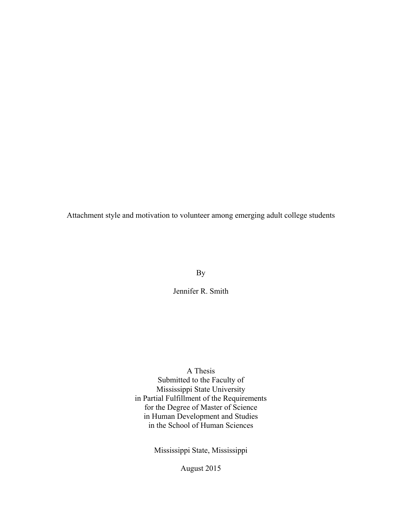Attachment style and motivation to volunteer among emerging adult college students

By

Jennifer R. Smith

A Thesis

Submitted to the Faculty of Mississippi State University in Partial Fulfillment of the Requirements for the Degree of Master of Science in Human Development and Studies in the School of Human Sciences

Mississippi State, Mississippi

August 2015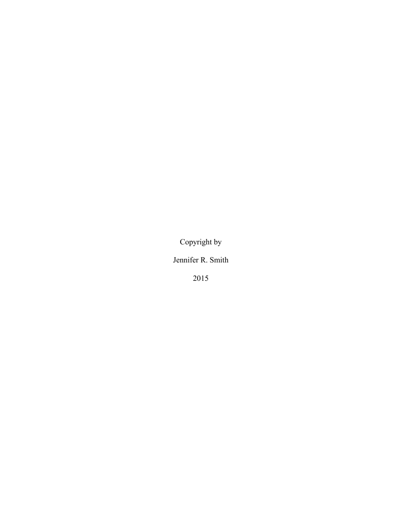Copyright by

Jennifer R. Smith

2015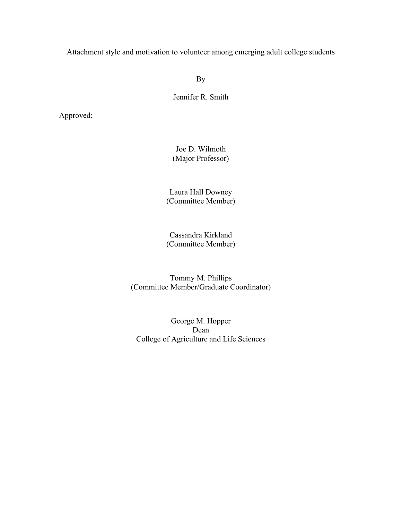Attachment style and motivation to volunteer among emerging adult college students

By

Jennifer R. Smith

Approved:

Joe D. Wilmoth (Major Professor)

 $\_$ 

Laura Hall Downey (Committee Member)

 $\_$ 

Cassandra Kirkland (Committee Member)

 $\_$ 

 $\_$ Tommy M. Phillips (Committee Member/Graduate Coordinator)

George M. Hopper Dean College of Agriculture and Life Sciences

 $\_$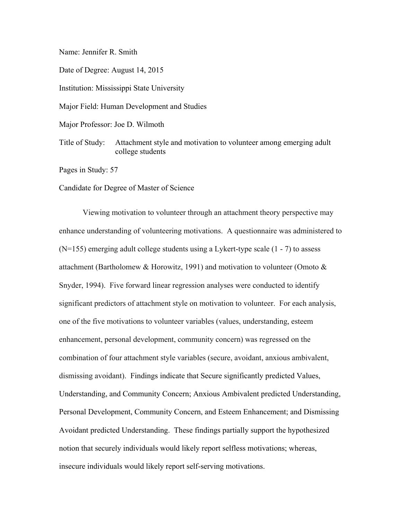#### Name: Jennifer R. Smith

Date of Degree: August 14, 2015

Institution: Mississippi State University

Major Field: Human Development and Studies

Major Professor: Joe D. Wilmoth

Title of Study: Attachment style and motivation to volunteer among emerging adult college students

Pages in Study: 57

Candidate for Degree of Master of Science

Viewing motivation to volunteer through an attachment theory perspective may enhance understanding of volunteering motivations. A questionnaire was administered to (N=155) emerging adult college students using a Lykert-type scale (1 - 7) to assess attachment (Bartholomew & Horowitz, 1991) and motivation to volunteer (Omoto & Snyder, 1994). Five forward linear regression analyses were conducted to identify significant predictors of attachment style on motivation to volunteer. For each analysis, one of the five motivations to volunteer variables (values, understanding, esteem enhancement, personal development, community concern) was regressed on the combination of four attachment style variables (secure, avoidant, anxious ambivalent, dismissing avoidant). Findings indicate that Secure significantly predicted Values, Understanding, and Community Concern; Anxious Ambivalent predicted Understanding, Personal Development, Community Concern, and Esteem Enhancement; and Dismissing Avoidant predicted Understanding. These findings partially support the hypothesized notion that securely individuals would likely report selfless motivations; whereas, insecure individuals would likely report self-serving motivations.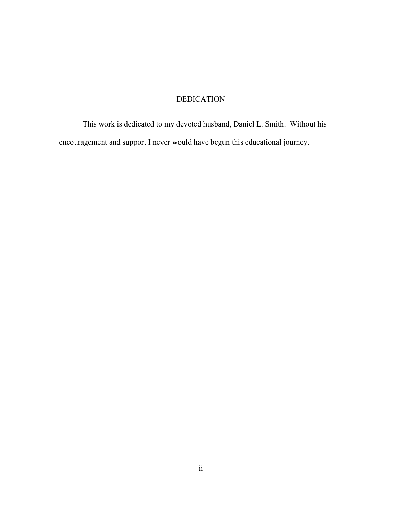# DEDICATION

<span id="page-5-0"></span>This work is dedicated to my devoted husband, Daniel L. Smith. Without his encouragement and support I never would have begun this educational journey.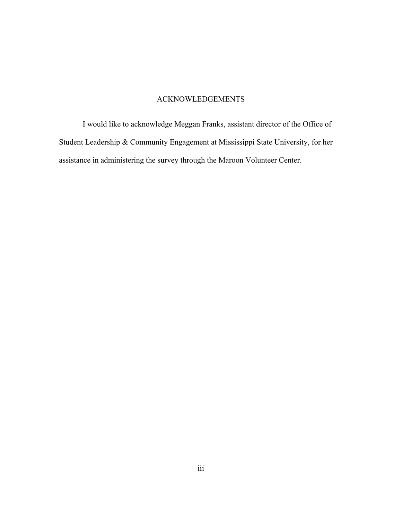# ACKNOWLEDGEMENTS

<span id="page-6-0"></span>I would like to acknowledge Meggan Franks, assistant director of the Office of Student Leadership & Community Engagement at Mississippi State University, for her assistance in administering the survey through the Maroon Volunteer Center.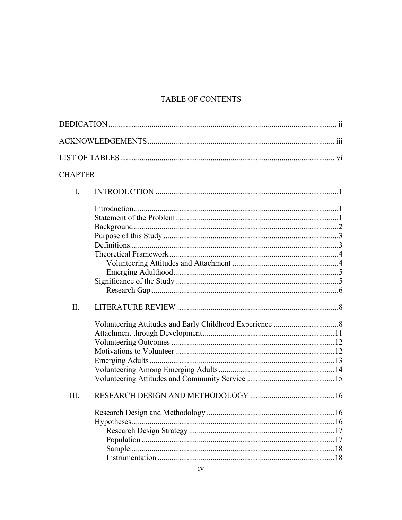# TABLE OF CONTENTS

| <b>CHAPTER</b> |         |
|----------------|---------|
| $I_{\cdot}$    |         |
|                |         |
|                |         |
|                |         |
|                |         |
|                |         |
|                |         |
|                |         |
|                |         |
|                |         |
|                |         |
| $\Pi$ .        |         |
|                |         |
|                |         |
|                |         |
|                |         |
|                |         |
|                |         |
|                |         |
| III.           |         |
|                | .16     |
|                |         |
|                |         |
|                | Sample. |
|                |         |
|                |         |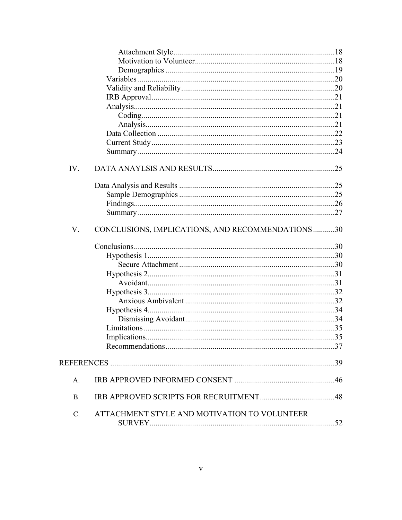| IV.             |                                                  |  |
|-----------------|--------------------------------------------------|--|
|                 |                                                  |  |
|                 |                                                  |  |
|                 |                                                  |  |
|                 |                                                  |  |
| V.              | CONCLUSIONS, IMPLICATIONS, AND RECOMMENDATIONS30 |  |
|                 |                                                  |  |
|                 |                                                  |  |
|                 |                                                  |  |
|                 |                                                  |  |
|                 |                                                  |  |
|                 |                                                  |  |
|                 |                                                  |  |
|                 |                                                  |  |
|                 |                                                  |  |
|                 |                                                  |  |
|                 |                                                  |  |
|                 |                                                  |  |
|                 |                                                  |  |
| A.              |                                                  |  |
| <b>B.</b>       |                                                  |  |
| $\mathcal{C}$ . | ATTACHMENT STYLE AND MOTIVATION TO VOLUNTEER     |  |
|                 |                                                  |  |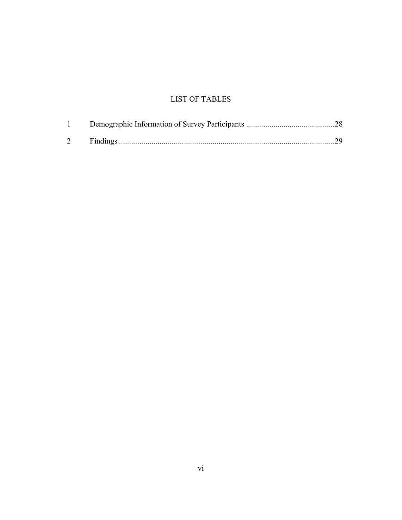# LIST OF TABLES

<span id="page-9-0"></span>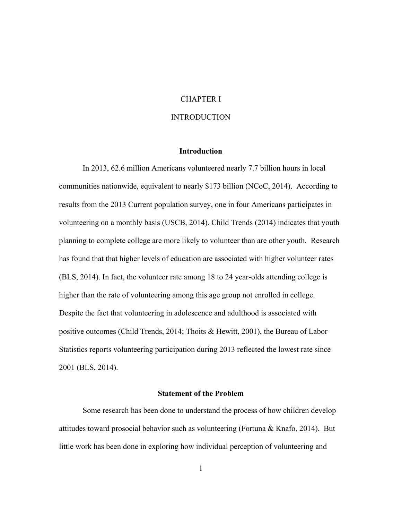#### CHAPTER I

#### INTRODUCTION

#### **Introduction**

<span id="page-10-2"></span><span id="page-10-1"></span><span id="page-10-0"></span>In 2013, 62.6 million Americans volunteered nearly 7.7 billion hours in local communities nationwide, equivalent to nearly \$173 billion (NCoC, 2014). According to results from the 2013 Current population survey, one in four Americans participates in volunteering on a monthly basis (USCB, 2014). Child Trends (2014) indicates that youth planning to complete college are more likely to volunteer than are other youth. Research has found that that higher levels of education are associated with higher volunteer rates (BLS, 2014). In fact, the volunteer rate among 18 to 24 year-olds attending college is higher than the rate of volunteering among this age group not enrolled in college. Despite the fact that volunteering in adolescence and adulthood is associated with positive outcomes (Child Trends, 2014; Thoits & Hewitt, 2001), the Bureau of Labor Statistics reports volunteering participation during 2013 reflected the lowest rate since 2001 (BLS, 2014).

#### **Statement of the Problem**

<span id="page-10-3"></span>Some research has been done to understand the process of how children develop attitudes toward prosocial behavior such as volunteering (Fortuna & Knafo, 2014). But little work has been done in exploring how individual perception of volunteering and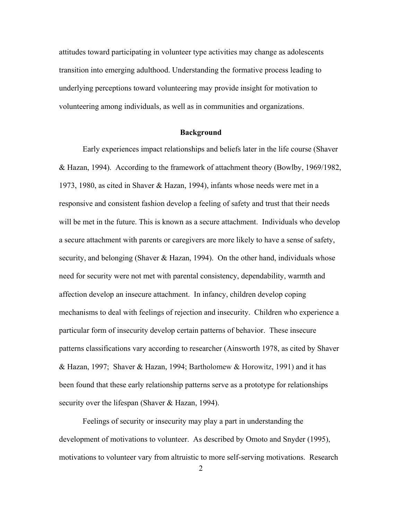attitudes toward participating in volunteer type activities may change as adolescents transition into emerging adulthood. Understanding the formative process leading to underlying perceptions toward volunteering may provide insight for motivation to volunteering among individuals, as well as in communities and organizations.

#### **Background**

<span id="page-11-0"></span>Early experiences impact relationships and beliefs later in the life course (Shaver & Hazan, 1994). According to the framework of attachment theory (Bowlby, 1969/1982, 1973, 1980, as cited in Shaver & Hazan, 1994), infants whose needs were met in a responsive and consistent fashion develop a feeling of safety and trust that their needs will be met in the future. This is known as a secure attachment. Individuals who develop a secure attachment with parents or caregivers are more likely to have a sense of safety, security, and belonging (Shaver & Hazan, 1994). On the other hand, individuals whose need for security were not met with parental consistency, dependability, warmth and affection develop an insecure attachment. In infancy, children develop coping mechanisms to deal with feelings of rejection and insecurity. Children who experience a particular form of insecurity develop certain patterns of behavior. These insecure patterns classifications vary according to researcher (Ainsworth 1978, as cited by Shaver & Hazan, 1997; Shaver & Hazan, 1994; Bartholomew & Horowitz, 1991) and it has been found that these early relationship patterns serve as a prototype for relationships security over the lifespan (Shaver & Hazan, 1994).

Feelings of security or insecurity may play a part in understanding the development of motivations to volunteer. As described by Omoto and Snyder (1995), motivations to volunteer vary from altruistic to more self-serving motivations. Research

 $\mathfrak{D}$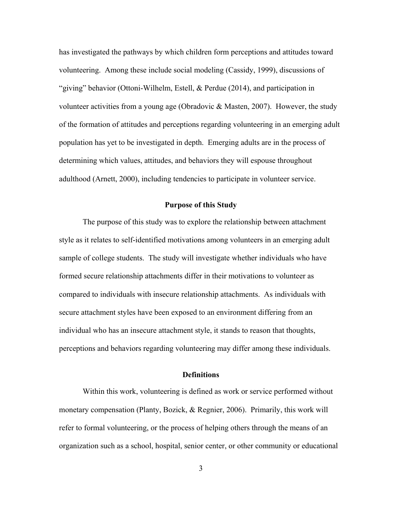has investigated the pathways by which children form perceptions and attitudes toward volunteering. Among these include social modeling (Cassidy, 1999), discussions of "giving" behavior (Ottoni-Wilhelm, Estell, & Perdue (2014), and participation in volunteer activities from a young age (Obradovic & Masten, 2007). However, the study of the formation of attitudes and perceptions regarding volunteering in an emerging adult population has yet to be investigated in depth. Emerging adults are in the process of determining which values, attitudes, and behaviors they will espouse throughout adulthood (Arnett, 2000), including tendencies to participate in volunteer service.

#### **Purpose of this Study**

<span id="page-12-0"></span>The purpose of this study was to explore the relationship between attachment style as it relates to self-identified motivations among volunteers in an emerging adult sample of college students. The study will investigate whether individuals who have formed secure relationship attachments differ in their motivations to volunteer as compared to individuals with insecure relationship attachments. As individuals with secure attachment styles have been exposed to an environment differing from an individual who has an insecure attachment style, it stands to reason that thoughts, perceptions and behaviors regarding volunteering may differ among these individuals.

#### **Definitions**

<span id="page-12-1"></span>Within this work, volunteering is defined as work or service performed without monetary compensation (Planty, Bozick, & Regnier, 2006). Primarily, this work will refer to formal volunteering, or the process of helping others through the means of an organization such as a school, hospital, senior center, or other community or educational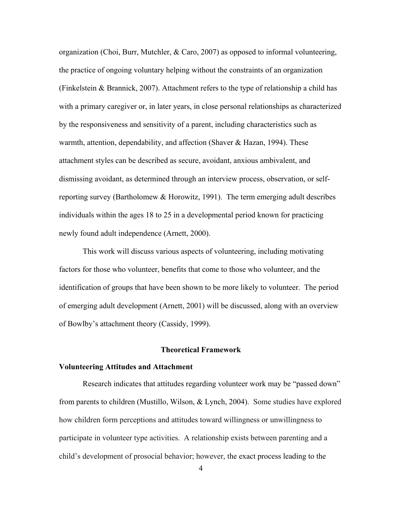organization (Choi, Burr, Mutchler, & Caro, 2007) as opposed to informal volunteering, the practice of ongoing voluntary helping without the constraints of an organization (Finkelstein & Brannick, 2007). Attachment refers to the type of relationship a child has with a primary caregiver or, in later years, in close personal relationships as characterized by the responsiveness and sensitivity of a parent, including characteristics such as warmth, attention, dependability, and affection (Shaver & Hazan, 1994). These attachment styles can be described as secure, avoidant, anxious ambivalent, and dismissing avoidant, as determined through an interview process, observation, or selfreporting survey (Bartholomew & Horowitz, 1991). The term emerging adult describes individuals within the ages 18 to 25 in a developmental period known for practicing newly found adult independence (Arnett, 2000).

This work will discuss various aspects of volunteering, including motivating factors for those who volunteer, benefits that come to those who volunteer, and the identification of groups that have been shown to be more likely to volunteer. The period of emerging adult development (Arnett, 2001) will be discussed, along with an overview of Bowlby's attachment theory (Cassidy, 1999).

#### **Theoretical Framework**

#### <span id="page-13-1"></span><span id="page-13-0"></span>**Volunteering Attitudes and Attachment**

Research indicates that attitudes regarding volunteer work may be "passed down" from parents to children (Mustillo, Wilson, & Lynch, 2004). Some studies have explored how children form perceptions and attitudes toward willingness or unwillingness to participate in volunteer type activities. A relationship exists between parenting and a child's development of prosocial behavior; however, the exact process leading to the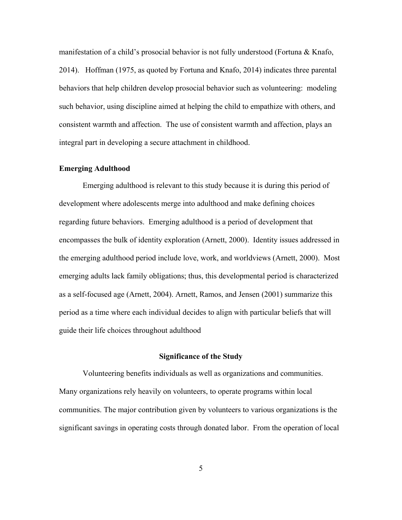manifestation of a child's prosocial behavior is not fully understood (Fortuna  $\&$  Knafo, 2014). Hoffman (1975, as quoted by Fortuna and Knafo, 2014) indicates three parental behaviors that help children develop prosocial behavior such as volunteering: modeling such behavior, using discipline aimed at helping the child to empathize with others, and consistent warmth and affection. The use of consistent warmth and affection, plays an integral part in developing a secure attachment in childhood.

#### <span id="page-14-0"></span>**Emerging Adulthood**

 Emerging adulthood is relevant to this study because it is during this period of development where adolescents merge into adulthood and make defining choices regarding future behaviors. Emerging adulthood is a period of development that encompasses the bulk of identity exploration (Arnett, 2000). Identity issues addressed in the emerging adulthood period include love, work, and worldviews (Arnett, 2000). Most emerging adults lack family obligations; thus, this developmental period is characterized as a self-focused age (Arnett, 2004). Arnett, Ramos, and Jensen (2001) summarize this period as a time where each individual decides to align with particular beliefs that will guide their life choices throughout adulthood

#### **Significance of the Study**

<span id="page-14-1"></span>Volunteering benefits individuals as well as organizations and communities. Many organizations rely heavily on volunteers, to operate programs within local communities. The major contribution given by volunteers to various organizations is the significant savings in operating costs through donated labor. From the operation of local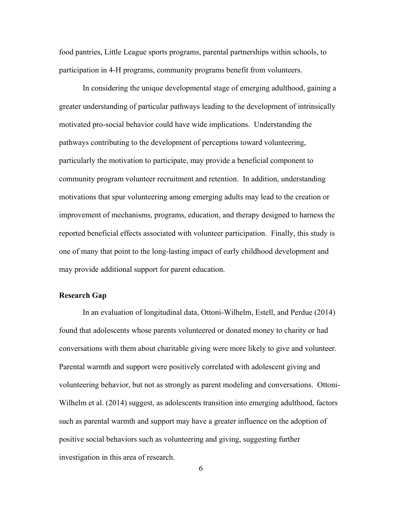food pantries, Little League sports programs, parental partnerships within schools, to participation in 4-H programs, community programs benefit from volunteers.

In considering the unique developmental stage of emerging adulthood, gaining a greater understanding of particular pathways leading to the development of intrinsically motivated pro-social behavior could have wide implications. Understanding the pathways contributing to the development of perceptions toward volunteering, particularly the motivation to participate, may provide a beneficial component to community program volunteer recruitment and retention. In addition, understanding motivations that spur volunteering among emerging adults may lead to the creation or improvement of mechanisms, programs, education, and therapy designed to harness the reported beneficial effects associated with volunteer participation. Finally, this study is one of many that point to the long-lasting impact of early childhood development and may provide additional support for parent education.

#### <span id="page-15-0"></span>**Research Gap**

 In an evaluation of longitudinal data, Ottoni-Wilhelm, Estell, and Perdue (2014) found that adolescents whose parents volunteered or donated money to charity or had conversations with them about charitable giving were more likely to give and volunteer. Parental warmth and support were positively correlated with adolescent giving and volunteering behavior, but not as strongly as parent modeling and conversations. Ottoni-Wilhelm et al. (2014) suggest, as adolescents transition into emerging adulthood, factors such as parental warmth and support may have a greater influence on the adoption of positive social behaviors such as volunteering and giving, suggesting further investigation in this area of research.

6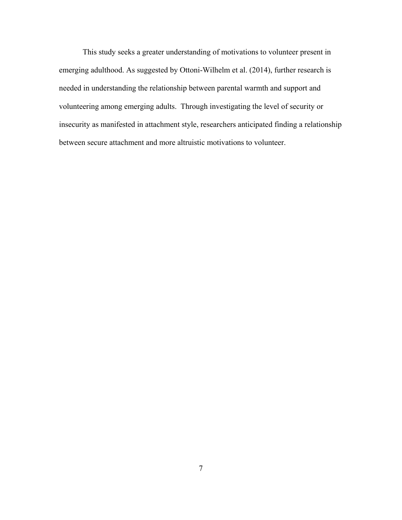This study seeks a greater understanding of motivations to volunteer present in emerging adulthood. As suggested by Ottoni-Wilhelm et al. (2014), further research is needed in understanding the relationship between parental warmth and support and volunteering among emerging adults. Through investigating the level of security or insecurity as manifested in attachment style, researchers anticipated finding a relationship between secure attachment and more altruistic motivations to volunteer.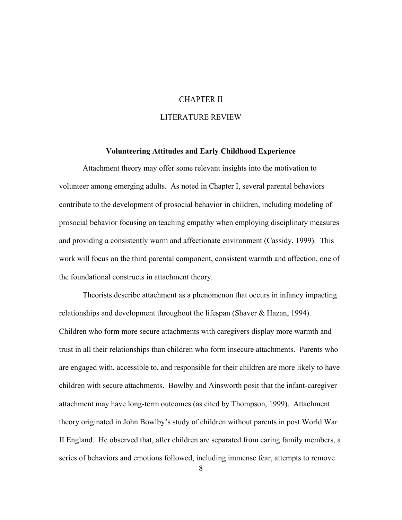#### **CHAPTER II**

#### LITERATURE REVIEW

### **Volunteering Attitudes and Early Childhood Experience**

<span id="page-17-1"></span><span id="page-17-0"></span>Attachment theory may offer some relevant insights into the motivation to volunteer among emerging adults. As noted in Chapter I, several parental behaviors contribute to the development of prosocial behavior in children, including modeling of prosocial behavior focusing on teaching empathy when employing disciplinary measures and providing a consistently warm and affectionate environment (Cassidy, 1999). This work will focus on the third parental component, consistent warmth and affection, one of the foundational constructs in attachment theory.

Theorists describe attachment as a phenomenon that occurs in infancy impacting relationships and development throughout the lifespan (Shaver & Hazan, 1994). Children who form more secure attachments with caregivers display more warmth and trust in all their relationships than children who form insecure attachments. Parents who are engaged with, accessible to, and responsible for their children are more likely to have children with secure attachments. Bowlby and Ainsworth posit that the infant-caregiver attachment may have long-term outcomes (as cited by Thompson, 1999). Attachment theory originated in John Bowlby's study of children without parents in post World War II England. He observed that, after children are separated from caring family members, a series of behaviors and emotions followed, including immense fear, attempts to remove

8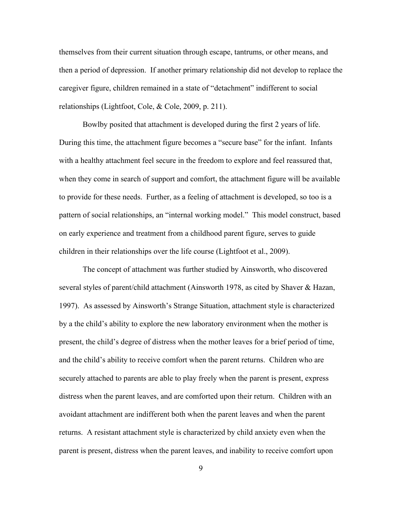themselves from their current situation through escape, tantrums, or other means, and then a period of depression. If another primary relationship did not develop to replace the caregiver figure, children remained in a state of "detachment" indifferent to social relationships (Lightfoot, Cole, & Cole, 2009, p. 211).

Bowlby posited that attachment is developed during the first 2 years of life. During this time, the attachment figure becomes a "secure base" for the infant. Infants with a healthy attachment feel secure in the freedom to explore and feel reassured that, when they come in search of support and comfort, the attachment figure will be available to provide for these needs. Further, as a feeling of attachment is developed, so too is a pattern of social relationships, an "internal working model." This model construct, based on early experience and treatment from a childhood parent figure, serves to guide children in their relationships over the life course (Lightfoot et al., 2009).

The concept of attachment was further studied by Ainsworth, who discovered several styles of parent/child attachment (Ainsworth 1978, as cited by Shaver & Hazan, 1997). As assessed by Ainsworth's Strange Situation, attachment style is characterized by a the child's ability to explore the new laboratory environment when the mother is present, the child's degree of distress when the mother leaves for a brief period of time, and the child's ability to receive comfort when the parent returns. Children who are securely attached to parents are able to play freely when the parent is present, express distress when the parent leaves, and are comforted upon their return. Children with an avoidant attachment are indifferent both when the parent leaves and when the parent returns. A resistant attachment style is characterized by child anxiety even when the parent is present, distress when the parent leaves, and inability to receive comfort upon

9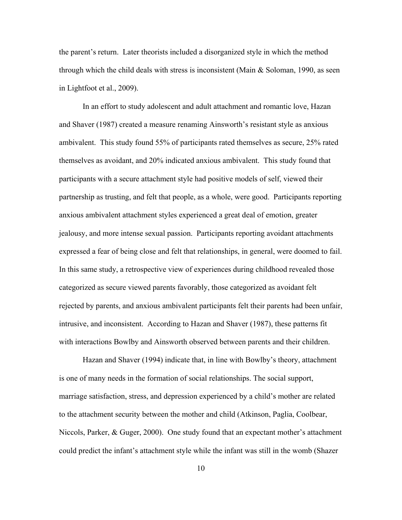the parent's return. Later theorists included a disorganized style in which the method through which the child deals with stress is inconsistent (Main  $\&$  Soloman, 1990, as seen in Lightfoot et al., 2009).

In an effort to study adolescent and adult attachment and romantic love, Hazan and Shaver (1987) created a measure renaming Ainsworth's resistant style as anxious ambivalent. This study found 55% of participants rated themselves as secure, 25% rated themselves as avoidant, and 20% indicated anxious ambivalent. This study found that participants with a secure attachment style had positive models of self, viewed their partnership as trusting, and felt that people, as a whole, were good. Participants reporting anxious ambivalent attachment styles experienced a great deal of emotion, greater jealousy, and more intense sexual passion. Participants reporting avoidant attachments expressed a fear of being close and felt that relationships, in general, were doomed to fail. In this same study, a retrospective view of experiences during childhood revealed those categorized as secure viewed parents favorably, those categorized as avoidant felt rejected by parents, and anxious ambivalent participants felt their parents had been unfair, intrusive, and inconsistent. According to Hazan and Shaver (1987), these patterns fit with interactions Bowlby and Ainsworth observed between parents and their children.

Hazan and Shaver (1994) indicate that, in line with Bowlby's theory, attachment is one of many needs in the formation of social relationships. The social support, marriage satisfaction, stress, and depression experienced by a child's mother are related to the attachment security between the mother and child (Atkinson, Paglia, Coolbear, Niccols, Parker, & Guger, 2000). One study found that an expectant mother's attachment could predict the infant's attachment style while the infant was still in the womb (Shazer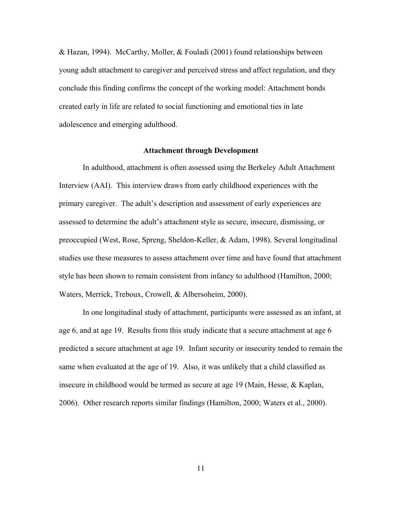& Hazan, 1994). McCarthy, Moller, & Fouladi (2001) found relationships between young adult attachment to caregiver and perceived stress and affect regulation, and they conclude this finding confirms the concept of the working model: Attachment bonds created early in life are related to social functioning and emotional ties in late adolescence and emerging adulthood.

#### **Attachment through Development**

<span id="page-20-0"></span>In adulthood, attachment is often assessed using the Berkeley Adult Attachment Interview (AAI). This interview draws from early childhood experiences with the primary caregiver. The adult's description and assessment of early experiences are assessed to determine the adult's attachment style as secure, insecure, dismissing, or preoccupied (West, Rose, Spreng, Sheldon-Keller, & Adam, 1998). Several longitudinal studies use these measures to assess attachment over time and have found that attachment style has been shown to remain consistent from infancy to adulthood (Hamilton, 2000; Waters, Merrick, Treboux, Crowell, & Albersoheim, 2000).

In one longitudinal study of attachment, participants were assessed as an infant, at age 6, and at age 19. Results from this study indicate that a secure attachment at age 6 predicted a secure attachment at age 19. Infant security or insecurity tended to remain the same when evaluated at the age of 19. Also, it was unlikely that a child classified as insecure in childhood would be termed as secure at age 19 (Main, Hesse, & Kaplan, 2006). Other research reports similar findings (Hamilton, 2000; Waters et al., 2000).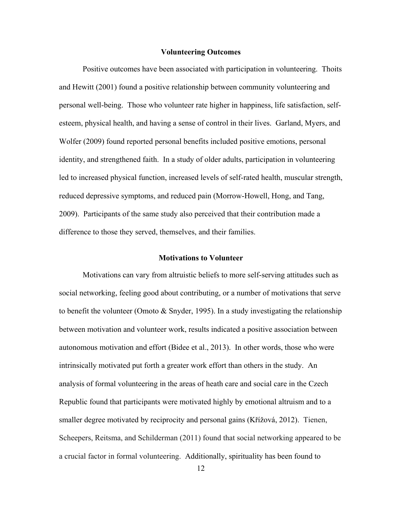#### **Volunteering Outcomes**

<span id="page-21-0"></span>Positive outcomes have been associated with participation in volunteering. Thoits and Hewitt (2001) found a positive relationship between community volunteering and personal well-being. Those who volunteer rate higher in happiness, life satisfaction, selfesteem, physical health, and having a sense of control in their lives. Garland, Myers, and Wolfer (2009) found reported personal benefits included positive emotions, personal identity, and strengthened faith. In a study of older adults, participation in volunteering led to increased physical function, increased levels of self-rated health, muscular strength, reduced depressive symptoms, and reduced pain (Morrow-Howell, Hong, and Tang, 2009). Participants of the same study also perceived that their contribution made a difference to those they served, themselves, and their families.

#### **Motivations to Volunteer**

<span id="page-21-1"></span>Motivations can vary from altruistic beliefs to more self-serving attitudes such as social networking, feeling good about contributing, or a number of motivations that serve to benefit the volunteer (Omoto & Snyder, 1995). In a study investigating the relationship between motivation and volunteer work, results indicated a positive association between autonomous motivation and effort (Bidee et al., 2013). In other words, those who were intrinsically motivated put forth a greater work effort than others in the study. An analysis of formal volunteering in the areas of heath care and social care in the Czech Republic found that participants were motivated highly by emotional altruism and to a smaller degree motivated by reciprocity and personal gains (Křížová, 2012). Tienen, Scheepers, Reitsma, and Schilderman (2011) found that social networking appeared to be a crucial factor in formal volunteering. Additionally, spirituality has been found to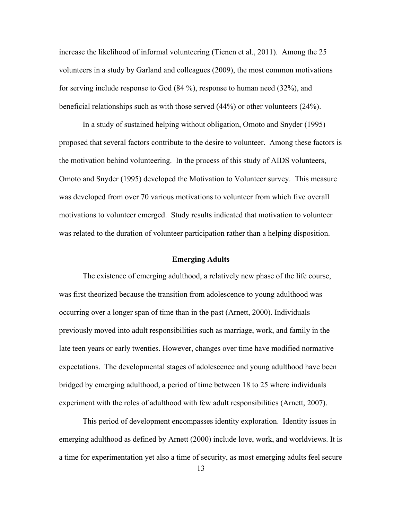increase the likelihood of informal volunteering (Tienen et al., 2011). Among the 25 volunteers in a study by Garland and colleagues (2009), the most common motivations for serving include response to God (84 %), response to human need (32%), and beneficial relationships such as with those served (44%) or other volunteers (24%).

In a study of sustained helping without obligation, Omoto and Snyder (1995) proposed that several factors contribute to the desire to volunteer. Among these factors is the motivation behind volunteering. In the process of this study of AIDS volunteers, Omoto and Snyder (1995) developed the Motivation to Volunteer survey. This measure was developed from over 70 various motivations to volunteer from which five overall motivations to volunteer emerged. Study results indicated that motivation to volunteer was related to the duration of volunteer participation rather than a helping disposition.

#### **Emerging Adults**

<span id="page-22-0"></span> The existence of emerging adulthood, a relatively new phase of the life course, was first theorized because the transition from adolescence to young adulthood was occurring over a longer span of time than in the past (Arnett, 2000). Individuals previously moved into adult responsibilities such as marriage, work, and family in the late teen years or early twenties. However, changes over time have modified normative expectations. The developmental stages of adolescence and young adulthood have been bridged by emerging adulthood, a period of time between 18 to 25 where individuals experiment with the roles of adulthood with few adult responsibilities (Arnett, 2007).

 This period of development encompasses identity exploration. Identity issues in emerging adulthood as defined by Arnett (2000) include love, work, and worldviews. It is a time for experimentation yet also a time of security, as most emerging adults feel secure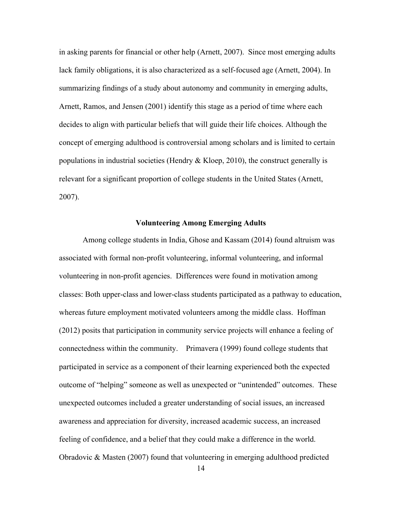in asking parents for financial or other help (Arnett, 2007). Since most emerging adults lack family obligations, it is also characterized as a self-focused age (Arnett, 2004). In summarizing findings of a study about autonomy and community in emerging adults, Arnett, Ramos, and Jensen (2001) identify this stage as a period of time where each decides to align with particular beliefs that will guide their life choices. Although the concept of emerging adulthood is controversial among scholars and is limited to certain populations in industrial societies (Hendry  $&$  Kloep, 2010), the construct generally is relevant for a significant proportion of college students in the United States (Arnett, 2007).

#### **Volunteering Among Emerging Adults**

<span id="page-23-0"></span> Among college students in India, Ghose and Kassam (2014) found altruism was associated with formal non-profit volunteering, informal volunteering, and informal volunteering in non-profit agencies. Differences were found in motivation among classes: Both upper-class and lower-class students participated as a pathway to education, whereas future employment motivated volunteers among the middle class. Hoffman (2012) posits that participation in community service projects will enhance a feeling of connectedness within the community. Primavera (1999) found college students that participated in service as a component of their learning experienced both the expected outcome of "helping" someone as well as unexpected or "unintended" outcomes. These unexpected outcomes included a greater understanding of social issues, an increased awareness and appreciation for diversity, increased academic success, an increased feeling of confidence, and a belief that they could make a difference in the world. Obradovic & Masten (2007) found that volunteering in emerging adulthood predicted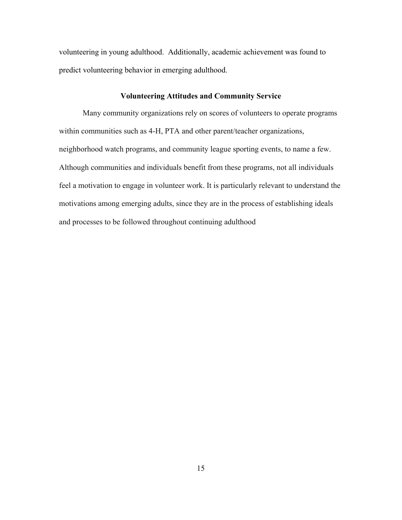volunteering in young adulthood. Additionally, academic achievement was found to predict volunteering behavior in emerging adulthood.

#### **Volunteering Attitudes and Community Service**

<span id="page-24-0"></span>Many community organizations rely on scores of volunteers to operate programs within communities such as 4-H, PTA and other parent/teacher organizations, neighborhood watch programs, and community league sporting events, to name a few. Although communities and individuals benefit from these programs, not all individuals feel a motivation to engage in volunteer work. It is particularly relevant to understand the motivations among emerging adults, since they are in the process of establishing ideals and processes to be followed throughout continuing adulthood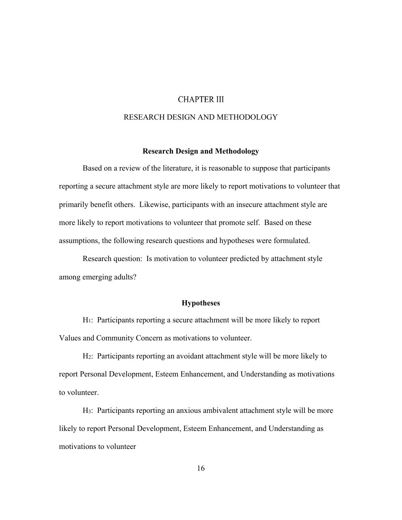### **CHAPTER III**

### RESEARCH DESIGN AND METHODOLOGY

#### **Research Design and Methodology**

<span id="page-25-1"></span><span id="page-25-0"></span>Based on a review of the literature, it is reasonable to suppose that participants reporting a secure attachment style are more likely to report motivations to volunteer that primarily benefit others. Likewise, participants with an insecure attachment style are more likely to report motivations to volunteer that promote self. Based on these assumptions, the following research questions and hypotheses were formulated.

Research question: Is motivation to volunteer predicted by attachment style among emerging adults?

#### **Hypotheses**

<span id="page-25-2"></span>H1: Participants reporting a secure attachment will be more likely to report Values and Community Concern as motivations to volunteer.

H2: Participants reporting an avoidant attachment style will be more likely to report Personal Development, Esteem Enhancement, and Understanding as motivations to volunteer.

H3: Participants reporting an anxious ambivalent attachment style will be more likely to report Personal Development, Esteem Enhancement, and Understanding as motivations to volunteer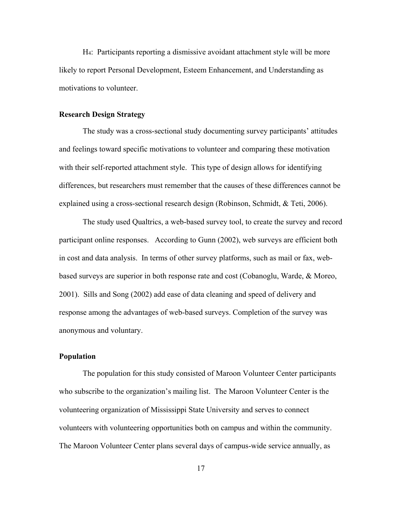H4: Participants reporting a dismissive avoidant attachment style will be more likely to report Personal Development, Esteem Enhancement, and Understanding as motivations to volunteer.

#### <span id="page-26-0"></span>**Research Design Strategy**

The study was a cross-sectional study documenting survey participants' attitudes and feelings toward specific motivations to volunteer and comparing these motivation with their self-reported attachment style. This type of design allows for identifying differences, but researchers must remember that the causes of these differences cannot be explained using a cross-sectional research design (Robinson, Schmidt, & Teti, 2006).

The study used Qualtrics, a web-based survey tool, to create the survey and record participant online responses. According to Gunn (2002), web surveys are efficient both in cost and data analysis. In terms of other survey platforms, such as mail or fax, webbased surveys are superior in both response rate and cost (Cobanoglu, Warde, & Moreo, 2001). Sills and Song (2002) add ease of data cleaning and speed of delivery and response among the advantages of web-based surveys. Completion of the survey was anonymous and voluntary.

#### <span id="page-26-1"></span>**Population**

The population for this study consisted of Maroon Volunteer Center participants who subscribe to the organization's mailing list. The Maroon Volunteer Center is the volunteering organization of Mississippi State University and serves to connect volunteers with volunteering opportunities both on campus and within the community. The Maroon Volunteer Center plans several days of campus-wide service annually, as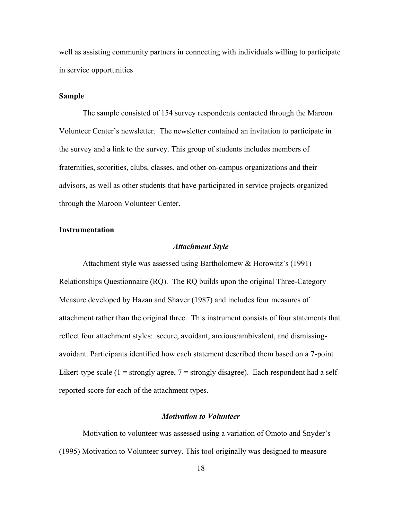well as assisting community partners in connecting with individuals willing to participate in service opportunities

#### <span id="page-27-0"></span>**Sample**

The sample consisted of 154 survey respondents contacted through the Maroon Volunteer Center's newsletter. The newsletter contained an invitation to participate in the survey and a link to the survey. This group of students includes members of fraternities, sororities, clubs, classes, and other on-campus organizations and their advisors, as well as other students that have participated in service projects organized through the Maroon Volunteer Center.

#### <span id="page-27-2"></span><span id="page-27-1"></span>**Instrumentation**

#### *Attachment Style*

Attachment style was assessed using Bartholomew & Horowitz's (1991) Relationships Questionnaire (RQ). The RQ builds upon the original Three-Category Measure developed by Hazan and Shaver (1987) and includes four measures of attachment rather than the original three. This instrument consists of four statements that reflect four attachment styles: secure, avoidant, anxious/ambivalent, and dismissingavoidant. Participants identified how each statement described them based on a 7-point Likert-type scale  $(1 =$  strongly agree,  $7 =$  strongly disagree). Each respondent had a selfreported score for each of the attachment types.

### *Motivation to Volunteer*

<span id="page-27-3"></span>Motivation to volunteer was assessed using a variation of Omoto and Snyder's (1995) Motivation to Volunteer survey. This tool originally was designed to measure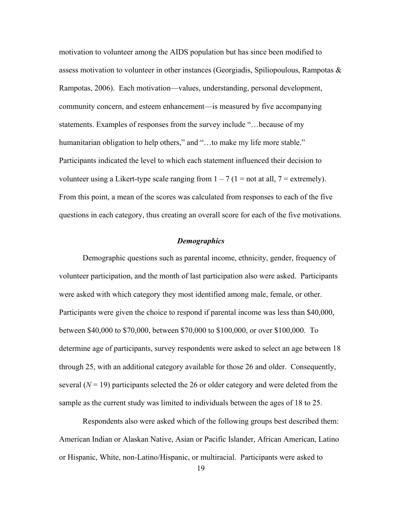motivation to volunteer among the AIDS population but has since been modified to assess motivation to volunteer in other instances (Georgiadis, Spiliopoulous, Rampotas & Rampotas, 2006). Each motivation—values, understanding, personal development, community concern, and esteem enhancement—is measured by five accompanying statements. Examples of responses from the survey include "…because of my humanitarian obligation to help others," and "...to make my life more stable." Participants indicated the level to which each statement influenced their decision to volunteer using a Likert-type scale ranging from  $1 - 7$  ( $1 =$  not at all,  $7 =$  extremely). From this point, a mean of the scores was calculated from responses to each of the five questions in each category, thus creating an overall score for each of the five motivations.

#### *Demographics*

<span id="page-28-0"></span>Demographic questions such as parental income, ethnicity, gender, frequency of volunteer participation, and the month of last participation also were asked. Participants were asked with which category they most identified among male, female, or other. Participants were given the choice to respond if parental income was less than \$40,000, between \$40,000 to \$70,000, between \$70,000 to \$100,000, or over \$100,000. To determine age of participants, survey respondents were asked to select an age between 18 through 25, with an additional category available for those 26 and older. Consequently, several  $(N = 19)$  participants selected the 26 or older category and were deleted from the sample as the current study was limited to individuals between the ages of 18 to 25.

Respondents also were asked which of the following groups best described them: American Indian or Alaskan Native, Asian or Pacific Islander, African American, Latino or Hispanic, White, non-Latino/Hispanic, or multiracial. Participants were asked to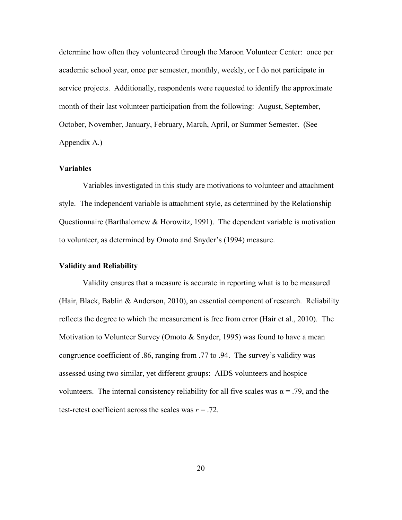determine how often they volunteered through the Maroon Volunteer Center: once per academic school year, once per semester, monthly, weekly, or I do not participate in service projects. Additionally, respondents were requested to identify the approximate month of their last volunteer participation from the following: August, September, October, November, January, February, March, April, or Summer Semester. (See Appendix A.)

#### <span id="page-29-0"></span>**Variables**

Variables investigated in this study are motivations to volunteer and attachment style. The independent variable is attachment style, as determined by the Relationship Questionnaire (Barthalomew & Horowitz, 1991). The dependent variable is motivation to volunteer, as determined by Omoto and Snyder's (1994) measure.

#### <span id="page-29-1"></span>**Validity and Reliability**

Validity ensures that a measure is accurate in reporting what is to be measured (Hair, Black, Bablin & Anderson, 2010), an essential component of research. Reliability reflects the degree to which the measurement is free from error (Hair et al., 2010). The Motivation to Volunteer Survey (Omoto & Snyder, 1995) was found to have a mean congruence coefficient of .86, ranging from .77 to .94. The survey's validity was assessed using two similar, yet different groups: AIDS volunteers and hospice volunteers. The internal consistency reliability for all five scales was  $\alpha = .79$ , and the test-retest coefficient across the scales was *r* = .72.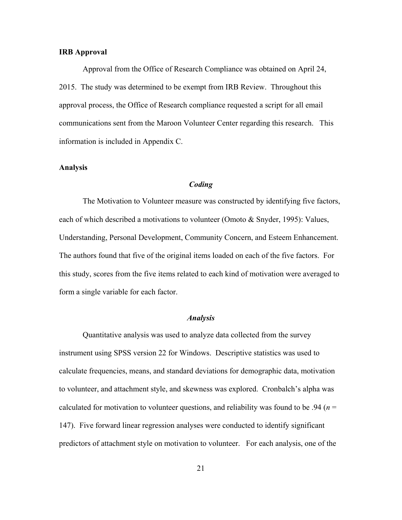#### <span id="page-30-0"></span>**IRB Approval**

Approval from the Office of Research Compliance was obtained on April 24, 2015. The study was determined to be exempt from IRB Review. Throughout this approval process, the Office of Research compliance requested a script for all email communications sent from the Maroon Volunteer Center regarding this research. This information is included in Appendix C.

#### <span id="page-30-2"></span><span id="page-30-1"></span>**Analysis**

#### *Coding*

The Motivation to Volunteer measure was constructed by identifying five factors, each of which described a motivations to volunteer (Omoto & Snyder, 1995): Values, Understanding, Personal Development, Community Concern, and Esteem Enhancement. The authors found that five of the original items loaded on each of the five factors. For this study, scores from the five items related to each kind of motivation were averaged to form a single variable for each factor.

#### *Analysis*

<span id="page-30-3"></span>Quantitative analysis was used to analyze data collected from the survey instrument using SPSS version 22 for Windows. Descriptive statistics was used to calculate frequencies, means, and standard deviations for demographic data, motivation to volunteer, and attachment style, and skewness was explored. Cronbalch's alpha was calculated for motivation to volunteer questions, and reliability was found to be .94 ( $n =$ 147). Five forward linear regression analyses were conducted to identify significant predictors of attachment style on motivation to volunteer. For each analysis, one of the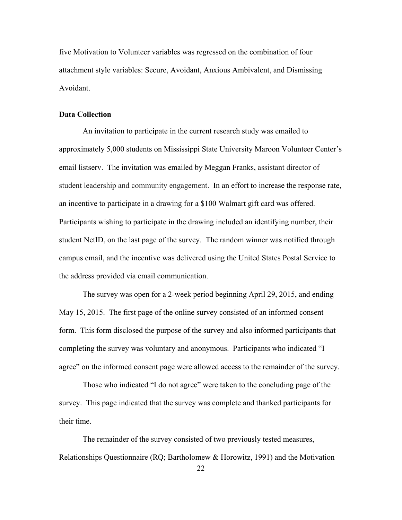five Motivation to Volunteer variables was regressed on the combination of four attachment style variables: Secure, Avoidant, Anxious Ambivalent, and Dismissing Avoidant.

#### <span id="page-31-0"></span>**Data Collection**

An invitation to participate in the current research study was emailed to approximately 5,000 students on Mississippi State University Maroon Volunteer Center's email listserv. The invitation was emailed by Meggan Franks, assistant director of student leadership and community engagement. In an effort to increase the response rate, an incentive to participate in a drawing for a \$100 Walmart gift card was offered. Participants wishing to participate in the drawing included an identifying number, their student NetID, on the last page of the survey. The random winner was notified through campus email, and the incentive was delivered using the United States Postal Service to the address provided via email communication.

The survey was open for a 2-week period beginning April 29, 2015, and ending May 15, 2015. The first page of the online survey consisted of an informed consent form. This form disclosed the purpose of the survey and also informed participants that completing the survey was voluntary and anonymous. Participants who indicated "I agree" on the informed consent page were allowed access to the remainder of the survey.

Those who indicated "I do not agree" were taken to the concluding page of the survey. This page indicated that the survey was complete and thanked participants for their time.

The remainder of the survey consisted of two previously tested measures, Relationships Questionnaire (RQ; Bartholomew & Horowitz, 1991) and the Motivation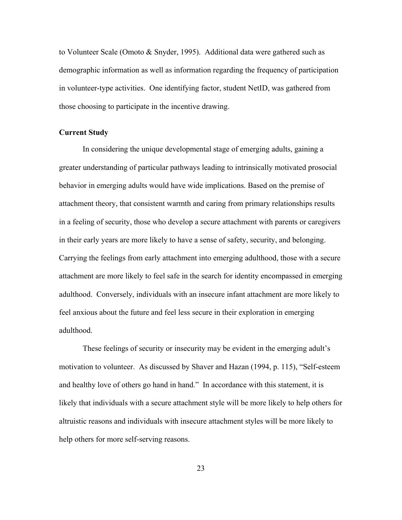to Volunteer Scale (Omoto & Snyder, 1995). Additional data were gathered such as demographic information as well as information regarding the frequency of participation in volunteer-type activities. One identifying factor, student NetID, was gathered from those choosing to participate in the incentive drawing.

#### <span id="page-32-0"></span>**Current Study**

 In considering the unique developmental stage of emerging adults, gaining a greater understanding of particular pathways leading to intrinsically motivated prosocial behavior in emerging adults would have wide implications. Based on the premise of attachment theory, that consistent warmth and caring from primary relationships results in a feeling of security, those who develop a secure attachment with parents or caregivers in their early years are more likely to have a sense of safety, security, and belonging. Carrying the feelings from early attachment into emerging adulthood, those with a secure attachment are more likely to feel safe in the search for identity encompassed in emerging adulthood. Conversely, individuals with an insecure infant attachment are more likely to feel anxious about the future and feel less secure in their exploration in emerging adulthood.

These feelings of security or insecurity may be evident in the emerging adult's motivation to volunteer. As discussed by Shaver and Hazan (1994, p. 115), "Self-esteem and healthy love of others go hand in hand." In accordance with this statement, it is likely that individuals with a secure attachment style will be more likely to help others for altruistic reasons and individuals with insecure attachment styles will be more likely to help others for more self-serving reasons.

23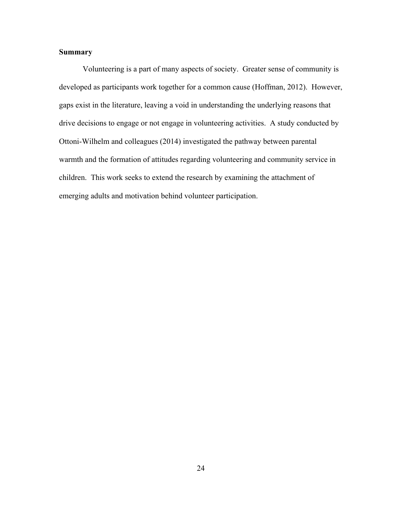# <span id="page-33-0"></span>**Summary**

 Volunteering is a part of many aspects of society. Greater sense of community is developed as participants work together for a common cause (Hoffman, 2012). However, gaps exist in the literature, leaving a void in understanding the underlying reasons that drive decisions to engage or not engage in volunteering activities. A study conducted by Ottoni-Wilhelm and colleagues (2014) investigated the pathway between parental warmth and the formation of attitudes regarding volunteering and community service in children. This work seeks to extend the research by examining the attachment of emerging adults and motivation behind volunteer participation.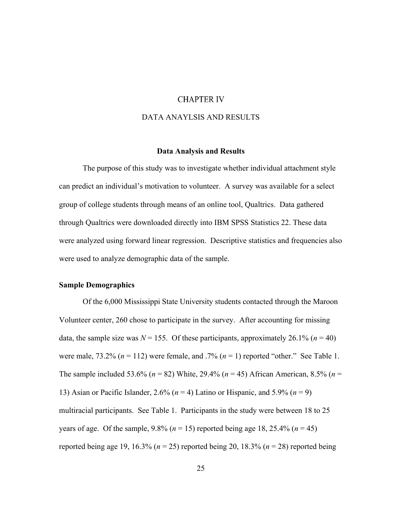#### **CHAPTER IV**

#### DATA ANAYLSIS AND RESULTS

#### **Data Analysis and Results**

<span id="page-34-1"></span><span id="page-34-0"></span>The purpose of this study was to investigate whether individual attachment style can predict an individual's motivation to volunteer. A survey was available for a select group of college students through means of an online tool, Qualtrics. Data gathered through Qualtrics were downloaded directly into IBM SPSS Statistics 22. These data were analyzed using forward linear regression. Descriptive statistics and frequencies also were used to analyze demographic data of the sample.

#### <span id="page-34-2"></span>**Sample Demographics**

Of the 6,000 Mississippi State University students contacted through the Maroon Volunteer center, 260 chose to participate in the survey. After accounting for missing data, the sample size was  $N = 155$ . Of these participants, approximately 26.1% ( $n = 40$ ) were male,  $73.2\%$  ( $n = 112$ ) were female, and  $.7\%$  ( $n = 1$ ) reported "other." See Table 1. The sample included 53.6% (*n* = 82) White, 29.4% (*n* = 45) African American, 8.5% (*n* = 13) Asian or Pacific Islander, 2.6% (*n* = 4) Latino or Hispanic, and 5.9% (*n* = 9) multiracial participants. See Table 1. Participants in the study were between 18 to 25 years of age. Of the sample,  $9.8\%$  ( $n = 15$ ) reported being age 18, 25.4% ( $n = 45$ ) reported being age 19, 16.3% (*n* = 25) reported being 20, 18.3% (*n* = 28) reported being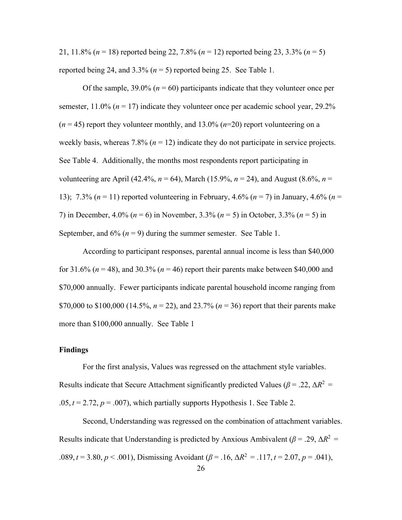21, 11.8% (*n* = 18) reported being 22, 7.8% (*n* = 12) reported being 23, 3.3% (*n* = 5) reported being 24, and  $3.3\%$  ( $n = 5$ ) reported being 25. See Table 1.

Of the sample,  $39.0\%$  ( $n = 60$ ) participants indicate that they volunteer once per semester,  $11.0\%$  ( $n = 17$ ) indicate they volunteer once per academic school year, 29.2%  $(n = 45)$  report they volunteer monthly, and 13.0%  $(n=20)$  report volunteering on a weekly basis, whereas  $7.8\%$  ( $n = 12$ ) indicate they do not participate in service projects. See Table 4. Additionally, the months most respondents report participating in volunteering are April (42.4%,  $n = 64$ ), March (15.9%,  $n = 24$ ), and August (8.6%,  $n =$ 13); 7.3% (*n* = 11) reported volunteering in February, 4.6% (*n* = 7) in January, 4.6% (*n* = 7) in December, 4.0% (*n* = 6) in November, 3.3% (*n* = 5) in October, 3.3% (*n* = 5) in September, and  $6\%$  ( $n = 9$ ) during the summer semester. See Table 1.

According to participant responses, parental annual income is less than \$40,000 for 31.6% ( $n = 48$ ), and 30.3% ( $n = 46$ ) report their parents make between \$40,000 and \$70,000 annually. Fewer participants indicate parental household income ranging from \$70,000 to \$100,000 (14.5%,  $n = 22$ ), and 23.7% ( $n = 36$ ) report that their parents make more than \$100,000 annually. See Table 1

#### <span id="page-35-0"></span>**Findings**

For the first analysis, Values was regressed on the attachment style variables. Results indicate that Secure Attachment significantly predicted Values ( $\beta$  = .22,  $\Delta R^2$  =  $.05, t = 2.72, p = .007$ , which partially supports Hypothesis 1. See Table 2.

Second, Understanding was regressed on the combination of attachment variables. Results indicate that Understanding is predicted by Anxious Ambivalent ( $\beta$  = .29,  $\Delta R^2$  = .089,  $t = 3.80$ ,  $p < .001$ ), Dismissing Avoidant ( $\beta = .16$ ,  $\Delta R^2 = .117$ ,  $t = 2.07$ ,  $p = .041$ ),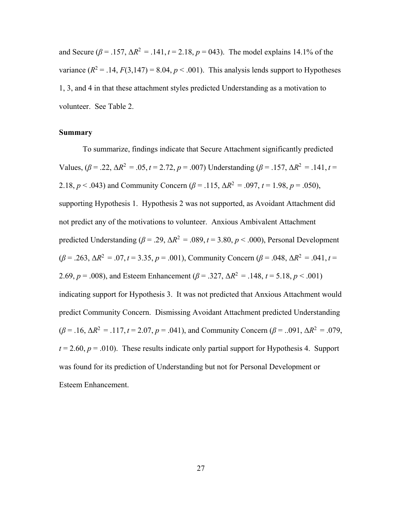and Secure ( $\beta$  = .157,  $\Delta R^2$  = .141,  $t$  = 2.18,  $p$  = 043). The model explains 14.1% of the variance  $(R^2 = .14, F(3, 147) = 8.04, p < .001)$ . This analysis lends support to Hypotheses 1, 3, and 4 in that these attachment styles predicted Understanding as a motivation to volunteer. See Table 2.

#### <span id="page-36-0"></span>**Summary**

To summarize, findings indicate that Secure Attachment significantly predicted Values,  $(\beta = .22, \Delta R^2 = .05, t = 2.72, p = .007)$  Understanding  $(\beta = .157, \Delta R^2 = .141, t =$ 2.18,  $p < .043$ ) and Community Concern ( $\beta = .115$ ,  $\Delta R^2 = .097$ ,  $t = 1.98$ ,  $p = .050$ ), supporting Hypothesis 1. Hypothesis 2 was not supported, as Avoidant Attachment did not predict any of the motivations to volunteer. Anxious Ambivalent Attachment predicted Understanding ( $\beta$  = .29,  $\Delta R^2$  = .089,  $t$  = 3.80,  $p$  < .000), Personal Development  $(\beta = .263, \Delta R^2 = .07, t = 3.35, p = .001)$ , Community Concern  $(\beta = .048, \Delta R^2 = .041, t =$ 2.69,  $p = .008$ ), and Esteem Enhancement ( $\beta = .327$ ,  $\Delta R^2 = .148$ ,  $t = 5.18$ ,  $p < .001$ ) indicating support for Hypothesis 3. It was not predicted that Anxious Attachment would predict Community Concern. Dismissing Avoidant Attachment predicted Understanding  $(\beta = .16, \Delta R^2 = .117, t = 2.07, p = .041)$ , and Community Concern ( $\beta = .091, \Delta R^2 = .079$ ,  $t = 2.60$ ,  $p = .010$ ). These results indicate only partial support for Hypothesis 4. Support was found for its prediction of Understanding but not for Personal Development or Esteem Enhancement.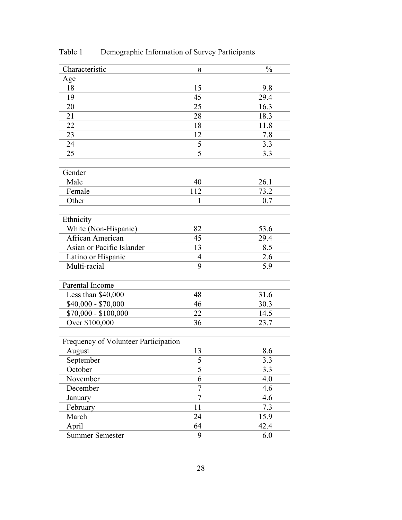| Characteristic                       | n              | $\frac{0}{0}$ |
|--------------------------------------|----------------|---------------|
| Age                                  |                |               |
| 18                                   | 15             | 9.8           |
| 19                                   | 45             | 29.4          |
| 20                                   | 25             | 16.3          |
| 21                                   | 28             | 18.3          |
| 22                                   | 18             | 11.8          |
| 23                                   | 12             | 7.8           |
| 24                                   | 5              | 3.3           |
| 25                                   | 5              | 3.3           |
|                                      |                |               |
| Gender                               |                |               |
| Male                                 | 40             | 26.1          |
| Female                               | 112            | 73.2          |
| Other                                | 1              | 0.7           |
| Ethnicity                            |                |               |
| White (Non-Hispanic)                 | 82             | 53.6          |
| African American                     | 45             | 29.4          |
| Asian or Pacific Islander            | 13             | 8.5           |
| Latino or Hispanic                   | 4              | 2.6           |
| Multi-racial                         | 9              | 5.9           |
|                                      |                |               |
| Parental Income                      |                |               |
| Less than \$40,000                   | 48             | 31.6          |
| $$40,000 - $70,000$                  | 46             | 30.3          |
| $$70,000 - $100,000$                 | 22             | 14.5          |
| Over \$100,000                       | 36             | 23.7          |
|                                      |                |               |
| Frequency of Volunteer Participation |                |               |
| August                               | 13             | 8.6           |
| September                            | $\mathfrak{c}$ | 3.3           |
| October                              | $\overline{5}$ | 3.3           |
| November                             | 6              | 4.0           |
| December                             | 7              | 4.6           |
| January                              | $\overline{7}$ | 4.6           |
| February                             | 11             | 7.3           |
| March                                | 24             | 15.9          |
| April                                | 64             | 42.4          |
| <b>Summer Semester</b>               | 9              | 6.0           |

<span id="page-37-0"></span>Table 1 Demographic Information of Survey Participants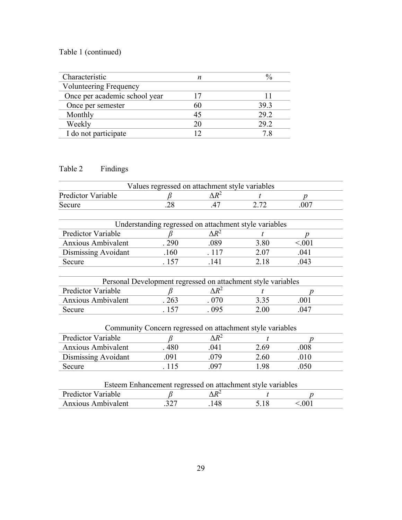# Table 1 (continued)

| Characteristic                |    |      |
|-------------------------------|----|------|
| <b>Volunteering Frequency</b> |    |      |
| Once per academic school year |    |      |
| Once per semester             | 60 | 39.3 |
| Monthly                       | 45 | 29.2 |
| Weekly                        | 20 | 29.2 |
| I do not participate          |    |      |

# <span id="page-38-0"></span>Table 2 Findings

|                           | Values regressed on attachment style variables               |              |      |        |
|---------------------------|--------------------------------------------------------------|--------------|------|--------|
| <b>Predictor Variable</b> |                                                              | $\Delta R^2$ | t.   | n      |
| Secure                    | .28                                                          | .47          | 2.72 | .007   |
|                           |                                                              |              |      |        |
|                           | Understanding regressed on attachment style variables        |              |      |        |
| Predictor Variable        |                                                              | $\Delta R^2$ |      |        |
| <b>Anxious Ambivalent</b> | .290                                                         | .089         | 3.80 | < 0.01 |
| Dismissing Avoidant       | .160                                                         | .117         | 2.07 | .041   |
| Secure                    | .157                                                         | .141         | 2.18 | .043   |
|                           |                                                              |              |      |        |
|                           | Personal Development regressed on attachment style variables |              |      |        |
| Predictor Variable        |                                                              | $\Delta R^2$ |      |        |
| <b>Anxious Ambivalent</b> | .263                                                         | .070         | 3.35 | .001   |
| Secure                    | . 157                                                        | .095         | 2.00 | .047   |
|                           |                                                              |              |      |        |
|                           | Community Concern regressed on attachment style variables    |              |      |        |
| Predictor Variable        |                                                              | $\Delta R^2$ |      | D      |
| <b>Anxious Ambivalent</b> | .480                                                         | .041         | 2.69 | .008   |
| Dismissing Avoidant       | .091                                                         | .079         | 2.60 | .010   |
| Secure                    | . 115                                                        | .097         | 1.98 | .050   |

| Esteem Enhancement regressed on attachment style variables |      |              |       |       |  |
|------------------------------------------------------------|------|--------------|-------|-------|--|
| <b>Predictor Variable</b>                                  |      | ላ $R^\angle$ |       |       |  |
| <b>Anxious Ambivalent</b>                                  | .327 | 148          | 5 1 8 | < 001 |  |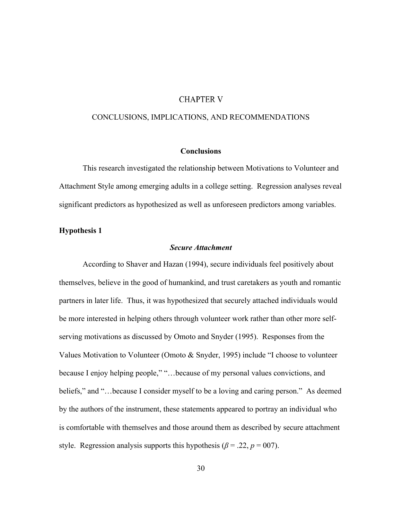#### **CHAPTER V**

#### <span id="page-39-0"></span>CONCLUSIONS, IMPLICATIONS, AND RECOMMENDATIONS

#### **Conclusions**

<span id="page-39-1"></span>This research investigated the relationship between Motivations to Volunteer and Attachment Style among emerging adults in a college setting. Regression analyses reveal significant predictors as hypothesized as well as unforeseen predictors among variables.

#### <span id="page-39-3"></span><span id="page-39-2"></span>**Hypothesis 1**

#### *Secure Attachment*

According to Shaver and Hazan (1994), secure individuals feel positively about themselves, believe in the good of humankind, and trust caretakers as youth and romantic partners in later life. Thus, it was hypothesized that securely attached individuals would be more interested in helping others through volunteer work rather than other more selfserving motivations as discussed by Omoto and Snyder (1995). Responses from the Values Motivation to Volunteer (Omoto & Snyder, 1995) include "I choose to volunteer because I enjoy helping people," "…because of my personal values convictions, and beliefs," and "…because I consider myself to be a loving and caring person." As deemed by the authors of the instrument, these statements appeared to portray an individual who is comfortable with themselves and those around them as described by secure attachment style. Regression analysis supports this hypothesis ( $\beta$  = .22,  $p$  = 007).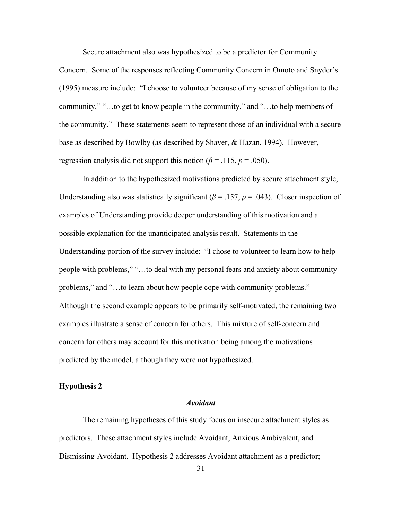Secure attachment also was hypothesized to be a predictor for Community

Concern. Some of the responses reflecting Community Concern in Omoto and Snyder's (1995) measure include: "I choose to volunteer because of my sense of obligation to the community," "…to get to know people in the community," and "…to help members of the community." These statements seem to represent those of an individual with a secure base as described by Bowlby (as described by Shaver, & Hazan, 1994). However, regression analysis did not support this notion ( $\beta$  = .115,  $p$  = .050).

In addition to the hypothesized motivations predicted by secure attachment style, Understanding also was statistically significant ( $\beta$  = .157,  $p$  = .043). Closer inspection of examples of Understanding provide deeper understanding of this motivation and a possible explanation for the unanticipated analysis result. Statements in the Understanding portion of the survey include: "I chose to volunteer to learn how to help people with problems," "…to deal with my personal fears and anxiety about community problems," and "…to learn about how people cope with community problems." Although the second example appears to be primarily self-motivated, the remaining two examples illustrate a sense of concern for others. This mixture of self-concern and concern for others may account for this motivation being among the motivations predicted by the model, although they were not hypothesized.

#### <span id="page-40-1"></span><span id="page-40-0"></span>**Hypothesis 2**

#### *Avoidant*

The remaining hypotheses of this study focus on insecure attachment styles as predictors. These attachment styles include Avoidant, Anxious Ambivalent, and Dismissing-Avoidant. Hypothesis 2 addresses Avoidant attachment as a predictor;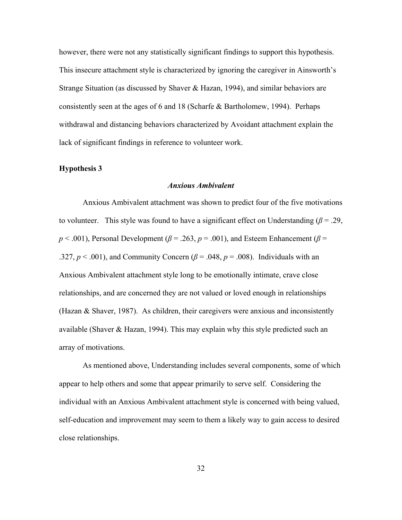however, there were not any statistically significant findings to support this hypothesis. This insecure attachment style is characterized by ignoring the caregiver in Ainsworth's Strange Situation (as discussed by Shaver & Hazan, 1994), and similar behaviors are consistently seen at the ages of 6 and 18 (Scharfe & Bartholomew, 1994). Perhaps withdrawal and distancing behaviors characterized by Avoidant attachment explain the lack of significant findings in reference to volunteer work.

#### <span id="page-41-1"></span><span id="page-41-0"></span>**Hypothesis 3**

### *Anxious Ambivalent*

Anxious Ambivalent attachment was shown to predict four of the five motivations to volunteer. This style was found to have a significant effect on Understanding  $(\beta = .29)$ ,  $p < .001$ ), Personal Development ( $\beta = .263$ ,  $p = .001$ ), and Esteem Enhancement ( $\beta =$ .327,  $p < .001$ ), and Community Concern ( $\beta = .048$ ,  $p = .008$ ). Individuals with an Anxious Ambivalent attachment style long to be emotionally intimate, crave close relationships, and are concerned they are not valued or loved enough in relationships (Hazan & Shaver, 1987). As children, their caregivers were anxious and inconsistently available (Shaver & Hazan, 1994). This may explain why this style predicted such an array of motivations.

As mentioned above, Understanding includes several components, some of which appear to help others and some that appear primarily to serve self. Considering the individual with an Anxious Ambivalent attachment style is concerned with being valued, self-education and improvement may seem to them a likely way to gain access to desired close relationships.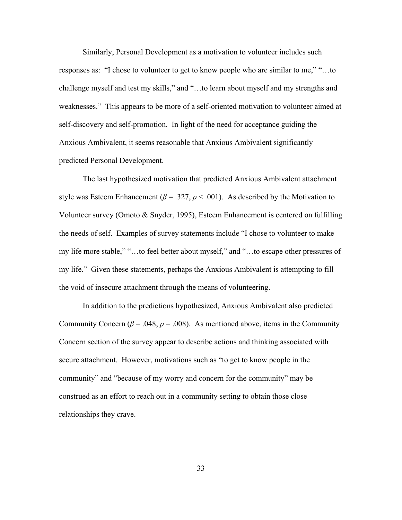Similarly, Personal Development as a motivation to volunteer includes such responses as: "I chose to volunteer to get to know people who are similar to me," "…to challenge myself and test my skills," and "…to learn about myself and my strengths and weaknesses." This appears to be more of a self-oriented motivation to volunteer aimed at self-discovery and self-promotion. In light of the need for acceptance guiding the Anxious Ambivalent, it seems reasonable that Anxious Ambivalent significantly predicted Personal Development.

The last hypothesized motivation that predicted Anxious Ambivalent attachment style was Esteem Enhancement ( $\beta$  = .327,  $p$  < .001). As described by the Motivation to Volunteer survey (Omoto & Snyder, 1995), Esteem Enhancement is centered on fulfilling the needs of self. Examples of survey statements include "I chose to volunteer to make my life more stable," "…to feel better about myself," and "…to escape other pressures of my life." Given these statements, perhaps the Anxious Ambivalent is attempting to fill the void of insecure attachment through the means of volunteering.

In addition to the predictions hypothesized, Anxious Ambivalent also predicted Community Concern ( $\beta$  = .048,  $p$  = .008). As mentioned above, items in the Community Concern section of the survey appear to describe actions and thinking associated with secure attachment. However, motivations such as "to get to know people in the community" and "because of my worry and concern for the community" may be construed as an effort to reach out in a community setting to obtain those close relationships they crave.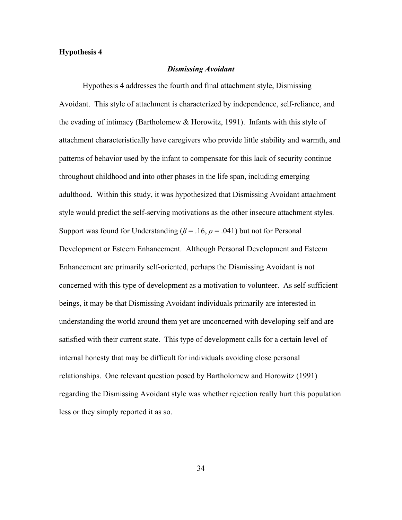#### <span id="page-43-1"></span><span id="page-43-0"></span>**Hypothesis 4**

#### *Dismissing Avoidant*

 Hypothesis 4 addresses the fourth and final attachment style, Dismissing Avoidant. This style of attachment is characterized by independence, self-reliance, and the evading of intimacy (Bartholomew & Horowitz, 1991). Infants with this style of attachment characteristically have caregivers who provide little stability and warmth, and patterns of behavior used by the infant to compensate for this lack of security continue throughout childhood and into other phases in the life span, including emerging adulthood. Within this study, it was hypothesized that Dismissing Avoidant attachment style would predict the self-serving motivations as the other insecure attachment styles. Support was found for Understanding ( $\beta$  = .16,  $p$  = .041) but not for Personal Development or Esteem Enhancement. Although Personal Development and Esteem Enhancement are primarily self-oriented, perhaps the Dismissing Avoidant is not concerned with this type of development as a motivation to volunteer. As self-sufficient beings, it may be that Dismissing Avoidant individuals primarily are interested in understanding the world around them yet are unconcerned with developing self and are satisfied with their current state. This type of development calls for a certain level of internal honesty that may be difficult for individuals avoiding close personal relationships. One relevant question posed by Bartholomew and Horowitz (1991) regarding the Dismissing Avoidant style was whether rejection really hurt this population less or they simply reported it as so.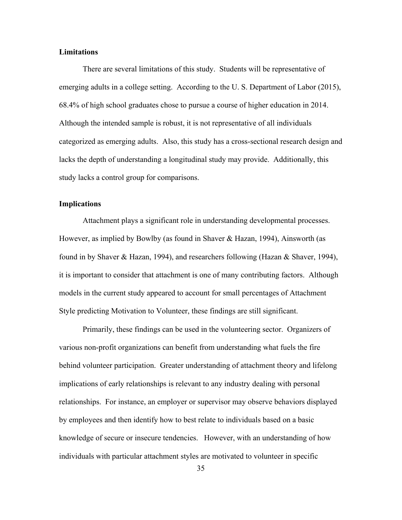#### <span id="page-44-0"></span>**Limitations**

 There are several limitations of this study. Students will be representative of emerging adults in a college setting. According to the U. S. Department of Labor (2015), 68.4% of high school graduates chose to pursue a course of higher education in 2014. Although the intended sample is robust, it is not representative of all individuals categorized as emerging adults. Also, this study has a cross-sectional research design and lacks the depth of understanding a longitudinal study may provide. Additionally, this study lacks a control group for comparisons.

#### <span id="page-44-1"></span>**Implications**

 Attachment plays a significant role in understanding developmental processes. However, as implied by Bowlby (as found in Shaver & Hazan, 1994), Ainsworth (as found in by Shaver & Hazan, 1994), and researchers following (Hazan & Shaver, 1994), it is important to consider that attachment is one of many contributing factors. Although models in the current study appeared to account for small percentages of Attachment Style predicting Motivation to Volunteer, these findings are still significant.

Primarily, these findings can be used in the volunteering sector. Organizers of various non-profit organizations can benefit from understanding what fuels the fire behind volunteer participation. Greater understanding of attachment theory and lifelong implications of early relationships is relevant to any industry dealing with personal relationships. For instance, an employer or supervisor may observe behaviors displayed by employees and then identify how to best relate to individuals based on a basic knowledge of secure or insecure tendencies. However, with an understanding of how individuals with particular attachment styles are motivated to volunteer in specific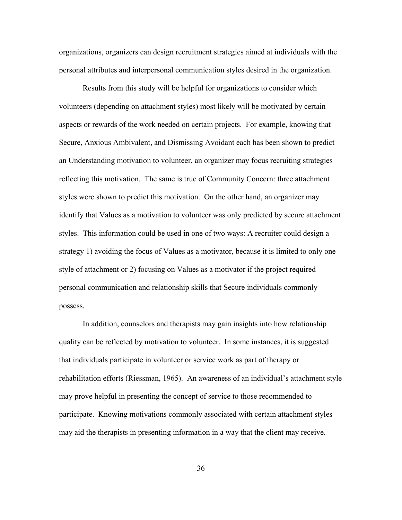organizations, organizers can design recruitment strategies aimed at individuals with the personal attributes and interpersonal communication styles desired in the organization.

Results from this study will be helpful for organizations to consider which volunteers (depending on attachment styles) most likely will be motivated by certain aspects or rewards of the work needed on certain projects. For example, knowing that Secure, Anxious Ambivalent, and Dismissing Avoidant each has been shown to predict an Understanding motivation to volunteer, an organizer may focus recruiting strategies reflecting this motivation. The same is true of Community Concern: three attachment styles were shown to predict this motivation. On the other hand, an organizer may identify that Values as a motivation to volunteer was only predicted by secure attachment styles. This information could be used in one of two ways: A recruiter could design a strategy 1) avoiding the focus of Values as a motivator, because it is limited to only one style of attachment or 2) focusing on Values as a motivator if the project required personal communication and relationship skills that Secure individuals commonly possess.

 In addition, counselors and therapists may gain insights into how relationship quality can be reflected by motivation to volunteer. In some instances, it is suggested that individuals participate in volunteer or service work as part of therapy or rehabilitation efforts (Riessman, 1965). An awareness of an individual's attachment style may prove helpful in presenting the concept of service to those recommended to participate. Knowing motivations commonly associated with certain attachment styles may aid the therapists in presenting information in a way that the client may receive.

36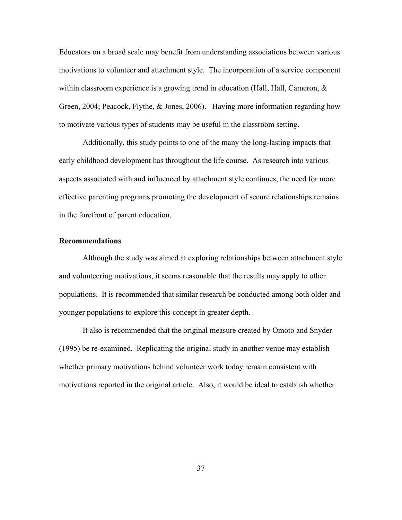Educators on a broad scale may benefit from understanding associations between various motivations to volunteer and attachment style. The incorporation of a service component within classroom experience is a growing trend in education (Hall, Hall, Cameron, & Green, 2004; Peacock, Flythe, & Jones, 2006). Having more information regarding how to motivate various types of students may be useful in the classroom setting.

Additionally, this study points to one of the many the long-lasting impacts that early childhood development has throughout the life course. As research into various aspects associated with and influenced by attachment style continues, the need for more effective parenting programs promoting the development of secure relationships remains in the forefront of parent education.

#### <span id="page-46-0"></span>**Recommendations**

 Although the study was aimed at exploring relationships between attachment style and volunteering motivations, it seems reasonable that the results may apply to other populations. It is recommended that similar research be conducted among both older and younger populations to explore this concept in greater depth.

 It also is recommended that the original measure created by Omoto and Snyder (1995) be re-examined. Replicating the original study in another venue may establish whether primary motivations behind volunteer work today remain consistent with motivations reported in the original article. Also, it would be ideal to establish whether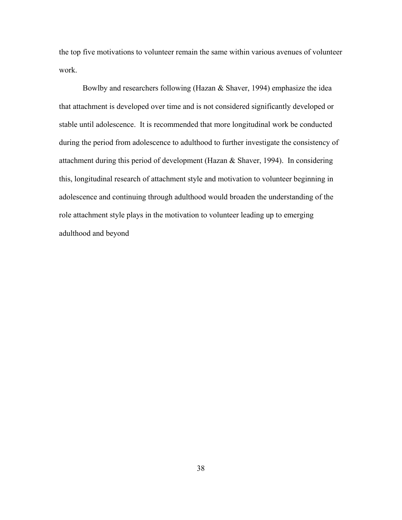the top five motivations to volunteer remain the same within various avenues of volunteer work.

Bowlby and researchers following (Hazan & Shaver, 1994) emphasize the idea that attachment is developed over time and is not considered significantly developed or stable until adolescence. It is recommended that more longitudinal work be conducted during the period from adolescence to adulthood to further investigate the consistency of attachment during this period of development (Hazan & Shaver, 1994). In considering this, longitudinal research of attachment style and motivation to volunteer beginning in adolescence and continuing through adulthood would broaden the understanding of the role attachment style plays in the motivation to volunteer leading up to emerging adulthood and beyond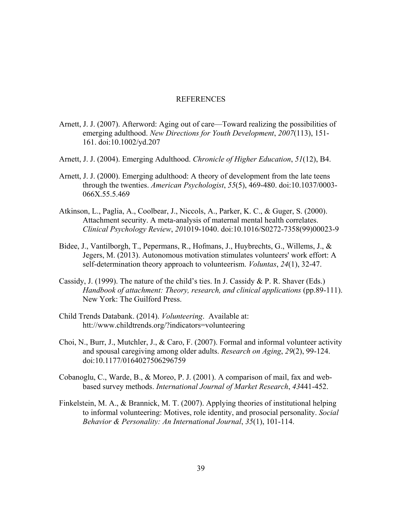#### REFERENCES

- <span id="page-48-0"></span>Arnett, J. J. (2007). Afterword: Aging out of care—Toward realizing the possibilities of emerging adulthood. *New Directions for Youth Development*, *2007*(113), 151- 161. doi:10.1002/yd.207
- Arnett, J. J. (2004). Emerging Adulthood. *Chronicle of Higher Education*, *51*(12), B4.
- Arnett, J. J. (2000). Emerging adulthood: A theory of development from the late teens through the twenties. *American Psychologist*, *55*(5), 469-480. doi:10.1037/0003- 066X.55.5.469
- Atkinson, L., Paglia, A., Coolbear, J., Niccols, A., Parker, K. C., & Guger, S. (2000). Attachment security. A meta-analysis of maternal mental health correlates. *Clinical Psychology Review*, *20*1019-1040. doi:10.1016/S0272-7358(99)00023-9
- Bidee, J., Vantilborgh, T., Pepermans, R., Hofmans, J., Huybrechts, G., Willems, J., & Jegers, M. (2013). Autonomous motivation stimulates volunteers' work effort: A self-determination theory approach to volunteerism. *Voluntas*, *24*(1), 32-47.
- Cassidy, J. (1999). The nature of the child's ties. In J. Cassidy & P. R. Shaver (Eds.) *Handbook of attachment: Theory, research, and clinical applications (pp.89-111).* New York: The Guilford Press.
- Child Trends Databank. (2014). *Volunteering*. Available at: htt://www.childtrends.org/?indicators=volunteering
- Choi, N., Burr, J., Mutchler, J., & Caro, F. (2007). Formal and informal volunteer activity and spousal caregiving among older adults. *Research on Aging*, *29*(2), 99-124. doi:10.1177/0164027506296759
- Cobanoglu, C., Warde, B., & Moreo, P. J. (2001). A comparison of mail, fax and webbased survey methods. *International Journal of Market Research*, *43*441-452.
- Finkelstein, M. A., & Brannick, M. T. (2007). Applying theories of institutional helping to informal volunteering: Motives, role identity, and prosocial personality. *Social Behavior & Personality: An International Journal*, *35*(1), 101-114.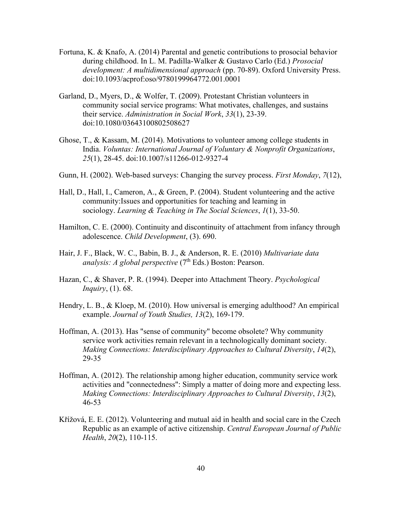- Fortuna, K. & Knafo, A. (2014) Parental and genetic contributions to prosocial behavior during childhood. In L. M. Padilla-Walker & Gustavo Carlo (Ed.) *Prosocial development: A multidimensional approach* (pp. 70-89). Oxford University Press. doi:10.1093/acprof:oso/9780199964772.001.0001
- Garland, D., Myers, D., & Wolfer, T. (2009). Protestant Christian volunteers in community social service programs: What motivates, challenges, and sustains their service. *Administration in Social Work*, *33*(1), 23-39. doi:10.1080/03643100802508627
- Ghose, T., & Kassam, M. (2014). Motivations to volunteer among college students in India. *Voluntas: International Journal of Voluntary & Nonprofit Organizations*, *25*(1), 28-45. doi:10.1007/s11266-012-9327-4
- Gunn, H. (2002). Web-based surveys: Changing the survey process. *First Monday*, *7*(12),
- Hall, D., Hall, I., Cameron, A., & Green, P. (2004). Student volunteering and the active community:Issues and opportunities for teaching and learning in sociology. *Learning & Teaching in The Social Sciences*, *1*(1), 33-50.
- Hamilton, C. E. (2000). Continuity and discontinuity of attachment from infancy through adolescence. *Child Development*, (3). 690.
- Hair, J. F., Black, W. C., Babin, B. J., & Anderson, R. E. (2010) *Multivariate data analysis: A global perspective* (7<sup>th</sup> Eds.) Boston: Pearson.
- Hazan, C., & Shaver, P. R. (1994). Deeper into Attachment Theory. *Psychological Inquiry*, (1). 68.
- Hendry, L. B., & Kloep, M. (2010). How universal is emerging adulthood? An empirical example. *Journal of Youth Studies, 13*(2), 169-179.
- Hoffman, A. (2013). Has "sense of community" become obsolete? Why community service work activities remain relevant in a technologically dominant society. *Making Connections: Interdisciplinary Approaches to Cultural Diversity*, *14*(2), 29-35
- Hoffman, A. (2012). The relationship among higher education, community service work activities and "connectedness": Simply a matter of doing more and expecting less. *Making Connections: Interdisciplinary Approaches to Cultural Diversity*, *13*(2), 46-53
- Křížová, E. E. (2012). Volunteering and mutual aid in health and social care in the Czech Republic as an example of active citizenship. *Central European Journal of Public Health*, *20*(2), 110-115.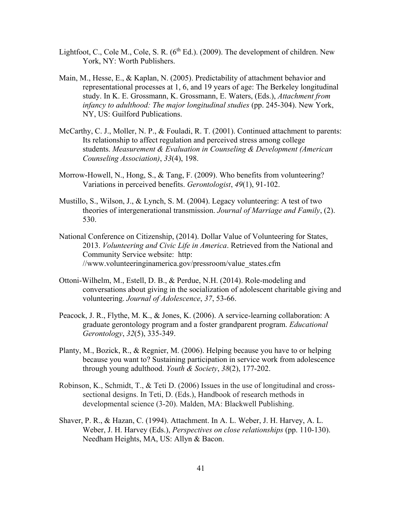- Lightfoot, C., Cole M., Cole, S. R.  $(6<sup>th</sup> Ed.)$ . (2009). The development of children. New York, NY: Worth Publishers.
- Main, M., Hesse, E., & Kaplan, N. (2005). Predictability of attachment behavior and representational processes at 1, 6, and 19 years of age: The Berkeley longitudinal study. In K. E. Grossmann, K. Grossmann, E. Waters, (Eds.), *Attachment from infancy to adulthood: The major longitudinal studies* (pp. 245-304). New York, NY, US: Guilford Publications.
- McCarthy, C. J., Moller, N. P., & Fouladi, R. T. (2001). Continued attachment to parents: Its relationship to affect regulation and perceived stress among college students. *Measurement & Evaluation in Counseling & Development (American Counseling Association)*, *33*(4), 198.
- Morrow-Howell, N., Hong, S., & Tang, F. (2009). Who benefits from volunteering? Variations in perceived benefits. *Gerontologist*, *49*(1), 91-102.
- Mustillo, S., Wilson, J., & Lynch, S. M. (2004). Legacy volunteering: A test of two theories of intergenerational transmission. *Journal of Marriage and Family*, (2). 530.
- National Conference on Citizenship, (2014). Dollar Value of Volunteering for States, 2013. *Volunteering and Civic Life in America*. Retrieved from the National and Community Service website: http: //www.volunteeringinamerica.gov/pressroom/value\_states.cfm
- Ottoni-Wilhelm, M., Estell, D. B., & Perdue, N.H. (2014). Role-modeling and conversations about giving in the socialization of adolescent charitable giving and volunteering. *Journal of Adolescence*, *37*, 53-66.
- Peacock, J. R., Flythe, M. K., & Jones, K. (2006). A service-learning collaboration: A graduate gerontology program and a foster grandparent program. *Educational Gerontology*, *32*(5), 335-349.
- Planty, M., Bozick, R., & Regnier, M. (2006). Helping because you have to or helping because you want to? Sustaining participation in service work from adolescence through young adulthood. *Youth & Society*, *38*(2), 177-202.
- Robinson, K., Schmidt, T., & Teti D. (2006) Issues in the use of longitudinal and crosssectional designs. In Teti, D. (Eds.), Handbook of research methods in developmental science (3-20). Malden, MA: Blackwell Publishing.
- Shaver, P. R., & Hazan, C. (1994). Attachment. In A. L. Weber, J. H. Harvey, A. L. Weber, J. H. Harvey (Eds.), *Perspectives on close relationships* (pp. 110-130). Needham Heights, MA, US: Allyn & Bacon.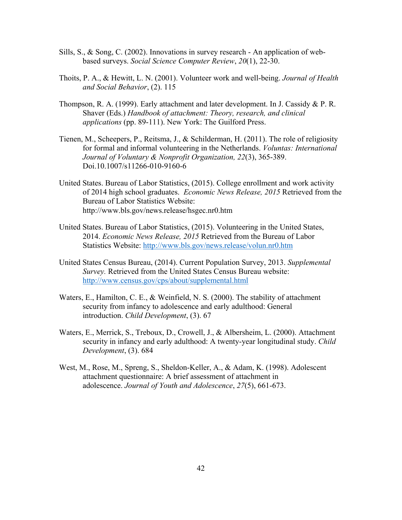- Sills, S., & Song, C. (2002). Innovations in survey research An application of webbased surveys. *Social Science Computer Review*, *20*(1), 22-30.
- Thoits, P. A., & Hewitt, L. N. (2001). Volunteer work and well-being. *Journal of Health and Social Behavior*, (2). 115
- Thompson, R. A. (1999). Early attachment and later development. In J. Cassidy & P. R. Shaver (Eds.) *Handbook of attachment: Theory, research, and clinical applications* (pp. 89-111). New York: The Guilford Press.
- Tienen, M., Scheepers, P., Reitsma, J., & Schilderman, H. (2011). The role of religiosity for formal and informal volunteering in the Netherlands. *Voluntas: International Journal of Voluntary & Nonprofit Organization, 22*(3), 365-389. Doi.10.1007/s11266-010-9160-6
- United States. Bureau of Labor Statistics, (2015). College enrollment and work activity of 2014 high school graduates. *Economic News Release, 2015* Retrieved from the Bureau of Labor Statistics Website: http://www.bls.gov/news.release/hsgec.nr0.htm
- United States. Bureau of Labor Statistics, (2015). Volunteering in the United States, 2014. *Economic News Release, 2015* Retrieved from the Bureau of Labor Statistics Website:<http://www.bls.gov/news.release/volun.nr0.htm>
- United States Census Bureau, (2014). Current Population Survey, 2013. *Supplemental Survey.* Retrieved from the United States Census Bureau website: <http://www.census.gov/cps/about/supplemental.html>
- Waters, E., Hamilton, C. E., & Weinfield, N. S. (2000). The stability of attachment security from infancy to adolescence and early adulthood: General introduction. *Child Development*, (3). 67
- Waters, E., Merrick, S., Treboux, D., Crowell, J., & Albersheim, L. (2000). Attachment security in infancy and early adulthood: A twenty-year longitudinal study. *Child Development*, (3). 684
- West, M., Rose, M., Spreng, S., Sheldon-Keller, A., & Adam, K. (1998). Adolescent attachment questionnaire: A brief assessment of attachment in adolescence. *Journal of Youth and Adolescence*, *27*(5), 661-673.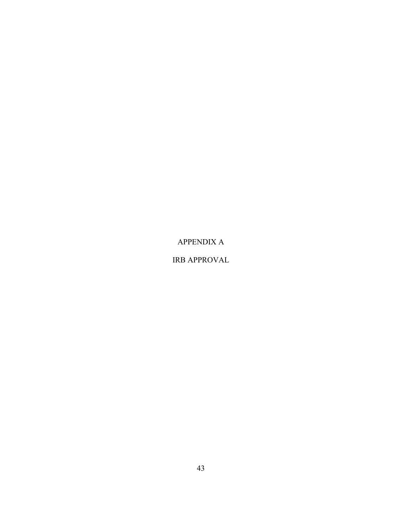APPENDIX A

IRB APPROVAL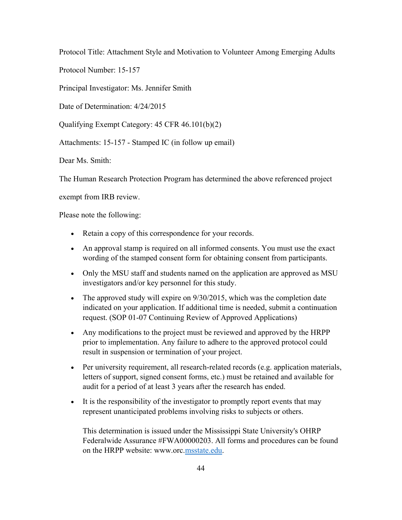Protocol Title: Attachment Style and Motivation to Volunteer Among Emerging Adults

Protocol Number: 15-157

Principal Investigator: Ms. Jennifer Smith

Date of Determination:  $4/24/2015$ 

Qualifying Exempt Category: 45 CFR 46.101(b)(2)

Attachments: 15-157 - Stamped IC (in follow up email)

Dear Ms. Smith:

The Human Research Protection Program has determined the above referenced project

exempt from IRB review.

Please note the following:

- Retain a copy of this correspondence for your records.
- An approval stamp is required on all informed consents. You must use the exact wording of the stamped consent form for obtaining consent from participants.
- Only the MSU staff and students named on the application are approved as MSU investigators and/or key personnel for this study.
- The approved study will expire on  $9/30/2015$ , which was the completion date indicated on your application. If additional time is needed, submit a continuation request. (SOP 01-07 Continuing Review of Approved Applications)
- Any modifications to the project must be reviewed and approved by the HRPP prior to implementation. Any failure to adhere to the approved protocol could result in suspension or termination of your project.
- Per university requirement, all research-related records (e.g. application materials, letters of support, signed consent forms, etc.) must be retained and available for audit for a period of at least 3 years after the research has ended.
- It is the responsibility of the investigator to promptly report events that may represent unanticipated problems involving risks to subjects or others.

This determination is issued under the Mississippi State University's OHRP Federalwide Assurance #FWA00000203. All forms and procedures can be found on the HRPP website: www.orc[.msstate.edu.](http://msstate.edu/)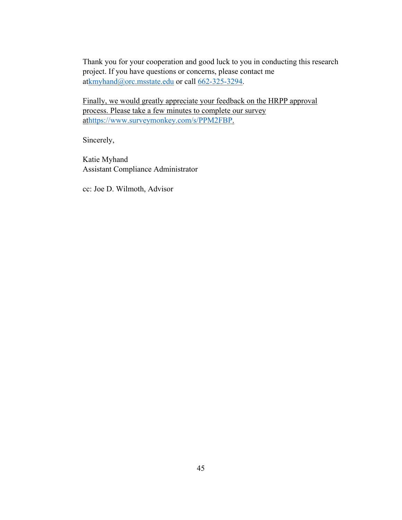Thank you for your cooperation and good luck to you in conducting this research project. If you have questions or concerns, please contact me a[tkmyhand@orc.msstate.edu](mailto:kmyhand@orc.msstate.edu) or call [662-325-3294.](tel:662-325-3294)

Finally, we would greatly appreciate your feedback on the HRPP approval process. Please take a few minutes to complete our survey a[thttps://www.surveymonkey.com/s/PPM2FBP.](https://www.surveymonkey.com/s/PPM2FBP)

Sincerely,

Katie Myhand Assistant Compliance Administrator

cc: Joe D. Wilmoth, Advisor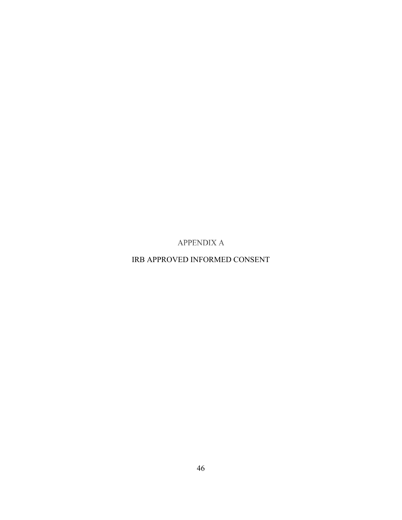**APPENDIX A** 

<span id="page-55-0"></span>IRB APPROVED INFORMED CONSENT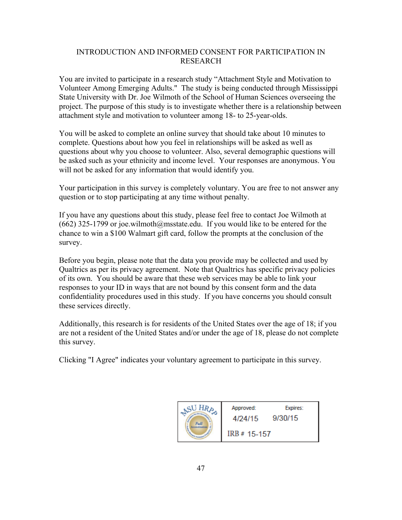### INTRODUCTION AND INFORMED CONSENT FOR PARTICIPATION IN RESEARCH

You are invited to participate in a research study "Attachment Style and Motivation to Volunteer Among Emerging Adults." The study is being conducted through Mississippi State University with Dr. Joe Wilmoth of the School of Human Sciences overseeing the project. The purpose of this study is to investigate whether there is a relationship between attachment style and motivation to volunteer among 18- to 25-year-olds.

You will be asked to complete an online survey that should take about 10 minutes to complete. Questions about how you feel in relationships will be asked as well as questions about why you choose to volunteer. Also, several demographic questions will be asked such as your ethnicity and income level. Your responses are anonymous. You will not be asked for any information that would identify you.

Your participation in this survey is completely voluntary. You are free to not answer any question or to stop participating at any time without penalty.

If you have any questions about this study, please feel free to contact Joe Wilmoth at  $(662)$  325-1799 or joe.wilmoth $@$ msstate.edu. If you would like to be entered for the chance to win a \$100 Walmart gift card, follow the prompts at the conclusion of the survey.

Before you begin, please note that the data you provide may be collected and used by Qualtrics as per its privacy agreement. Note that Qualtrics has specific privacy policies of its own. You should be aware that these web services may be able to link your responses to your ID in ways that are not bound by this consent form and the data confidentiality procedures used in this study. If you have concerns you should consult these services directly.

Additionally, this research is for residents of the United States over the age of 18; if you are not a resident of the United States and/or under the age of 18, please do not complete this survey.

Clicking "I Agree" indicates your voluntary agreement to participate in this survey.

| HR <sub>o</sub> | Approved:<br>4/24/15 | Expires:<br>9/30/15 |
|-----------------|----------------------|---------------------|
|                 | IRB # 15-157         |                     |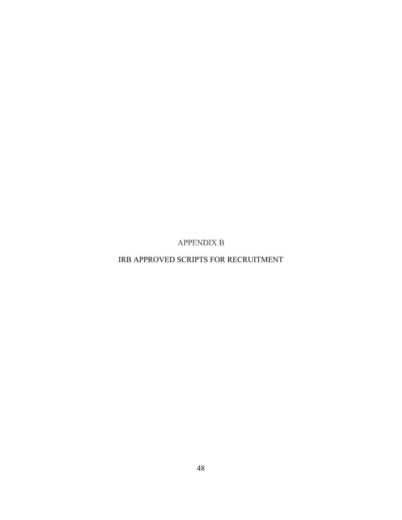**APPENDIX B** 

<span id="page-57-0"></span>IRB APPROVED SCRIPTS FOR RECRUITMENT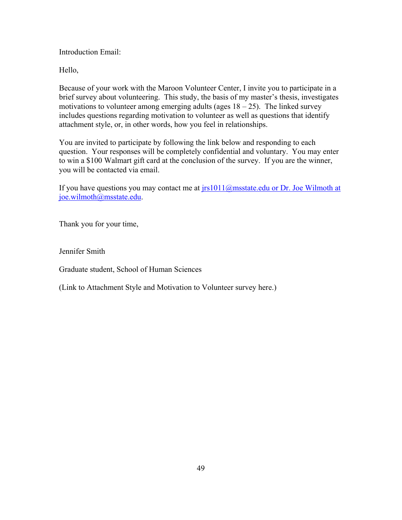Introduction Email:

Hello,

Because of your work with the Maroon Volunteer Center, I invite you to participate in a brief survey about volunteering. This study, the basis of my master's thesis, investigates motivations to volunteer among emerging adults (ages  $18 - 25$ ). The linked survey includes questions regarding motivation to volunteer as well as questions that identify attachment style, or, in other words, how you feel in relationships.

You are invited to participate by following the link below and responding to each question. Your responses will be completely confidential and voluntary. You may enter to win a \$100 Walmart gift card at the conclusion of the survey. If you are the winner, you will be contacted via email.

If you have questions you may contact me at  $irs1011@msstate.edu$  or Dr. Joe Wilmoth at joe.wilmoth@msstate.edu.

Thank you for your time,

Jennifer Smith

Graduate student, School of Human Sciences

(Link to Attachment Style and Motivation to Volunteer survey here.)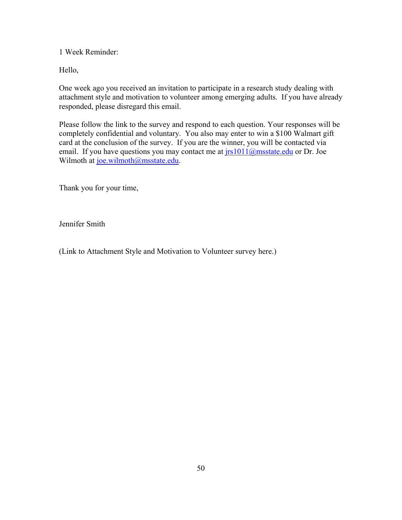1 Week Reminder:

Hello,

One week ago you received an invitation to participate in a research study dealing with attachment style and motivation to volunteer among emerging adults. If you have already responded, please disregard this email.

Please follow the link to the survey and respond to each question. Your responses will be completely confidential and voluntary. You also may enter to win a \$100 Walmart gift card at the conclusion of the survey. If you are the winner, you will be contacted via email. If you have questions you may contact me at  $irs1011@msstate.edu$  or Dr. Joe Wilmoth at [joe.wilmoth@msstate.edu.](mailto:joe.wilmoth@msstate.edu)

Thank you for your time,

Jennifer Smith

(Link to Attachment Style and Motivation to Volunteer survey here.)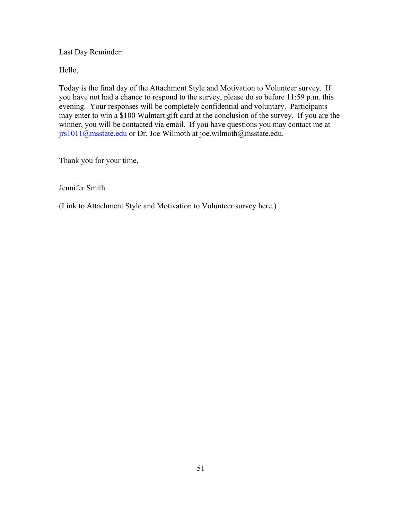Last Day Reminder:

Hello,

Today is the final day of the Attachment Style and Motivation to Volunteer survey. If you have not had a chance to respond to the survey, please do so before 11:59 p.m. this evening. Your responses will be completely confidential and voluntary. Participants may enter to win a \$100 Walmart gift card at the conclusion of the survey. If you are the winner, you will be contacted via email. If you have questions you may contact me at [jrs1011@msstate.edu](mailto:jrs1011@msstate.edu) or Dr. Joe Wilmoth at joe.wilmoth@msstate.edu.

Thank you for your time,

Jennifer Smith

(Link to Attachment Style and Motivation to Volunteer survey here.)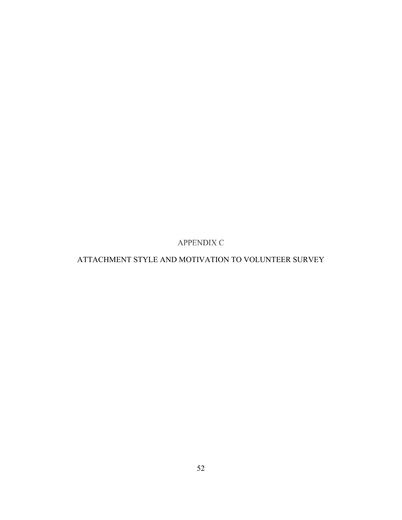**APPENDIX C** 

# <span id="page-61-0"></span>ATTACHMENT STYLE AND MOTIVATION TO VOLUNTEER SURVEY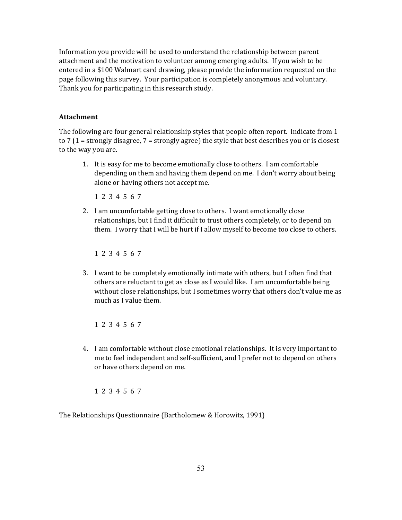Information you provide will be used to understand the relationship between parent attachment and the motivation to volunteer among emerging adults. If you wish to be entered in a \$100 Walmart card drawing, please provide the information requested on the page following this survey. Your participation is completely anonymous and voluntary. Thank you for participating in this research study.

#### **Attachment**

The following are four general relationship styles that people often report. Indicate from 1 to 7 (1 = strongly disagree, 7 = strongly agree) the style that best describes you or is closest to the way you are.

1. It is easy for me to become emotionally close to others. I am comfortable depending on them and having them depend on me. I don't worry about being alone or having others not accept me.

1 2 3 4 5 6 7

2. I am uncomfortable getting close to others. I want emotionally close relationships, but I find it difficult to trust others completely, or to depend on them. I worry that I will be hurt if I allow myself to become too close to others.

1 2 3 4 5 6 7

3. I want to be completely emotionally intimate with others, but I often find that others are reluctant to get as close as I would like. I am uncomfortable being without close relationships, but I sometimes worry that others don't value me as much as I value them.

1 2 3 4 5 6 7

4. I am comfortable without close emotional relationships. It is very important to me to feel independent and self-sufficient, and I prefer not to depend on others or have others depend on me.

1 2 3 4 5 6 7

The Relationships Questionnaire (Bartholomew & Horowitz, 1991)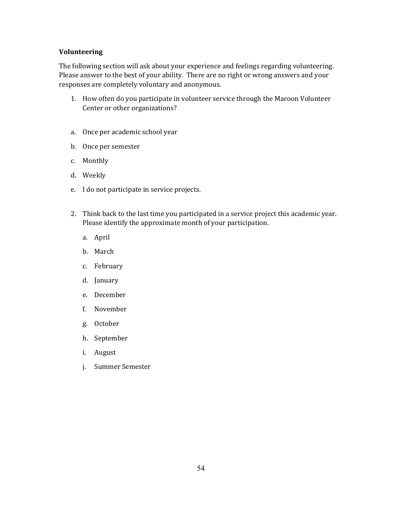#### **Volunteering**

The following section will ask about your experience and feelings regarding volunteering. Please answer to the best of your ability. There are no right or wrong answers and your responses are completely voluntary and anonymous.

- 1. How often do you participate in volunteer service through the Maroon Volunteer Center or other organizations?
- a. Once per academic school year
- b. Once per semester
- c. Monthly
- d. Weekly
- e. I do not participate in service projects.
- 2. Think back to the last time you participated in a service project this academic year. Please identify the approximate month of your participation.
	- a. April
	- b. March
	- c. February
	- d. January
	- e. December
	- f. November
	- g. October
	- h. September
	- i. August
	- j. Summer Semester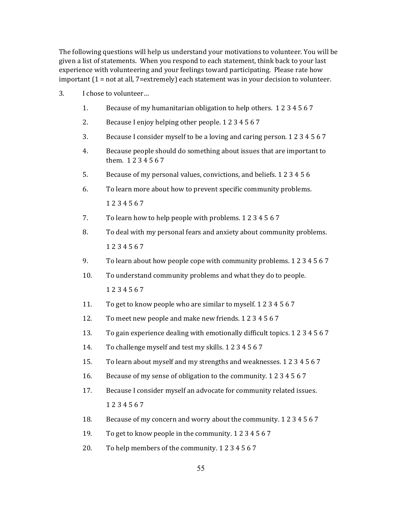The following questions will help us understand your motivations to volunteer. You will be given a list of statements. When you respond to each statement, think back to your last experience with volunteering and your feelings toward participating. Please rate how important (1 = not at all, 7=extremely) each statement was in your decision to volunteer.

- 3. I chose to volunteer…
	- 1. Because of my humanitarian obligation to help others. 1 2 3 4 5 6 7
	- 2. Because I enjoy helping other people. 1 2 3 4 5 6 7
	- 3. Because I consider myself to be a loving and caring person. 1 2 3 4 5 6 7
	- 4. Because people should do something about issues that are important to them. 1 2 3 4 5 6 7
	- 5. Because of my personal values, convictions, and beliefs. 1 2 3 4 5 6
	- 6. To learn more about how to prevent specific community problems. 1 2 3 4 5 6 7
	- 7. To learn how to help people with problems. 1 2 3 4 5 6 7
	- 8. To deal with my personal fears and anxiety about community problems. 1 2 3 4 5 6 7
	- 9. To learn about how people cope with community problems. 1 2 3 4 5 6 7
	- 10. To understand community problems and what they do to people. 1 2 3 4 5 6 7
	- 11. To get to know people who are similar to myself. 1 2 3 4 5 6 7
	- 12. To meet new people and make new friends. 1 2 3 4 5 6 7
	- 13. To gain experience dealing with emotionally difficult topics. 1 2 3 4 5 6 7
	- 14. To challenge myself and test my skills. 1 2 3 4 5 6 7
	- 15. To learn about myself and my strengths and weaknesses. 1 2 3 4 5 6 7
	- 16. Because of my sense of obligation to the community. 1 2 3 4 5 6 7
	- 17. Because I consider myself an advocate for community related issues. 1 2 3 4 5 6 7
	- 18. Because of my concern and worry about the community. 1 2 3 4 5 6 7
	- 19. To get to know people in the community. 1 2 3 4 5 6 7
	- 20. To help members of the community. 1 2 3 4 5 6 7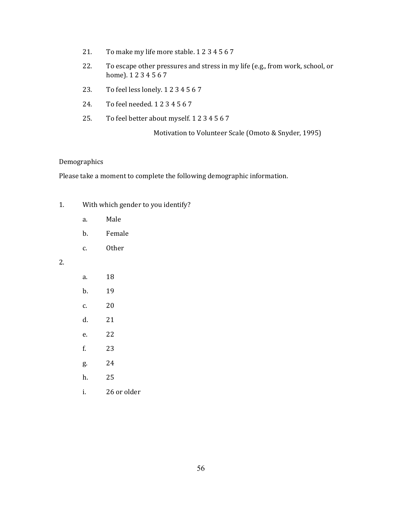- 21. To make my life more stable. 1 2 3 4 5 6 7
- 22. To escape other pressures and stress in my life (e.g., from work, school, or home). 1 2 3 4 5 6 7
- 23. To feel less lonely. 1 2 3 4 5 6 7
- 24. To feel needed. 1 2 3 4 5 6 7
- 25. To feel better about myself. 1 2 3 4 5 6 7

Motivation to Volunteer Scale (Omoto & Snyder, 1995)

#### Demographics

Please take a moment to complete the following demographic information.

- 1. With which gender to you identify?
	- a. Male
	- b. Female
	- c. Other

#### 2.

| a. | 18          |
|----|-------------|
| b. | 19          |
| c. | 20          |
| d. | 21          |
| e. | 22          |
| f. | 23          |
| g. | 24          |
| h. | 25          |
| i. | 26 or older |